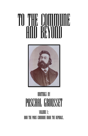# To the Commune and Beyond<br>Hill Beyond



## WRITINGS BY PASCHAL GROUSSET

Volume i: HOW THE PARIS COMMUNE MADE THE REPUBLIC.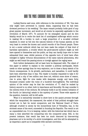### HOW THE PARIS COMMUNE MADE THE REPUBLIC.

Ludwig Boerne said once, with reference to the revolution of '89, 'One man only might have prevented it, namely Adam, supposing that he had been drowned previous to his wedding.' The same remark probably holds good of any great popular movement, and would at all events be especially applicable to the revolution of March 1871. To account for its entangled causes and its dire fatality would be to recite the dark list of unmitigated sufferings which concur in making life a burden to such a large proportion of a so-called civilised mankind; to enter at full into the natural history of the human species; at the very least to review the known and untold records of the French people. There is not a social outburst which has not been made the subject of that kind of harmless speculation, a trouble which the good-natured authors might as well have spared to themselves and the public, as they can hardly hope ever to have exhausted their case; whilst persons of the opposite turn of mind have often indulged in highly virtuous denunciations of the same natural phenomena, who might as well brand the passing storm or inveigh against the raging wave.

Such hollow declamation will at least here be dispensed with. The object of this paper is neither to explain to the outsider a political earthquake, which needs no other apology than its very explosion, nor to draw a fancy sketch of its future consequences. In its growth, particulars, and casualties, it could hardly have been otherwise than it was. The reader is humbly requested to take it for granted that a city of two million men does not, without some show of reason, rise in arms, fight for nine weeks with desperate energy, and leave forty thousand corpses under the ruins of a hundred thoroughfares. The individual opinion of the writer may be that the revolution of '71 shall be ranked by history second to no other, both in importance and fecundity. He may consider it the central event of the century. He certainly holds it as the solemn initiation of the fourth (or labouring) estate to the mystery of power. Those wide aspects of the question, however, will be left aside.

What it is exclusively intended to show here is the quaint process through which the vanquished, the massacred, the exiled of that political struggle have turned out in fact its moral conquerors; and the National Guard of Paris, although crushed to atoms by the monarchical host of Versailles, has, in the strictest sense of the word, succeeded in founding the Republic. The result is not an unparalleled one. It is in keeping, rather, with the historical law which has so many a time absorbed the conquering into the conquered army. Still, in the present instance, that result has been too much obscured by time-serving pharisees not to be worthy of a strict investigation, and this will be attempted in as impartial a spirit as is compatible with earnest conviction.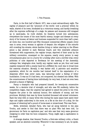#### I. Two Frances.

Paris, in the first half of March 1871, was a most extraordinary sight. The capital of pleasure and the 'cynosure of the world,' now a prisoner within its walls, shaved of its trees, blockaded by a victorious enemy, and hardly breathing after the supreme sufferings of a siege; its palaces and museums still wrapped up in sand-sacks, its roofs shelled, its theatres turned into ambulances; everywhere the traces of the most fearful misery; hunger and disease at every story of its houses; all labour and business suspended for more than half a year; all rents due; one hundred and fifty thousand commercial effects unpaid; every man in arms, every woman in agonies of despair; the refugees of the suburbs still crowding the streets; whole families living or rather starving on the fifteen pence a day allowed to each National Guard, and this miserable pittance threatened with suppression; the regular troops, deprived of their arms by the military convention, encamped on the squares; nearly every person in easy circumstances gone out in a hurry for a holiday after such a terrible trial; every politician of note departed to Bordeaux for the meeting of the Assembly; railways few, telegraphs slow, hardly any regular mails as yet; flour and meat supplies measured with a scanty hand by a diffident foe: such was in broad lines the material situation. Morally, it was darker still. A patriotic and sensitive population, which for six months had trained itself in the expectation of a desperate effort that never came, was labouring under a feeling of bitter humiliation. It was as if it had been, not conquered, but cheated into defeat. With the consciousness of having done individually its very best, it had not even been granted a chance of fighting.

Fancy a champion who had prepared himself, for twenty-six consecutive weeks, for a decisive trial of strength, and who was Wd suddenly, before the competition began, that the umpires had agreed to award the prize to his rival. Suppose the prize is the national honour, five milliards of money, and two provinces. Multiply that man by three hundred thousand odd armed volunteers. Back the total with so many wives who during the same space have spent their days and nights ankle-deep in the snow, on a file at the door of a shop, for the purpose of obtaining half a pound of horse-meat or straw-bread. This was Paris.

Noble, wretched, deluded Paris, who had all along believed in the plan Trochu, and awoke to find that there was no plan! Who had been told, 'Le gouverneur de Paris ne capitulera pas;' and who saw that very same governor resigning in order that his boon companion, Vinoy, might sign a capitulation in his stead!

A strange shadow, that General Trochu; a first-rate military critic, a fluent speaker, and an absolute nonentity. Whenever it was necessary to act, he spoke.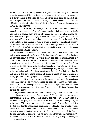On the night of the 4th of September 1870, just as he had been put at the head of the Government of National Defence, he happened to fall upon four quidnuncs in a dark passage of the Hotel de Ville. He button-holed them on the spot, and made a speech of half an hour duration, for their private benefit, on the difficulties of the situation. Meanwhile, the Crown Prince of Germany was advancing on Paris with speed.

Every inch a Breton, a Catholic, and a soldier, as Trochu used to describe himself, he was sincerely afraid of that sceptical and jolly democracy, which he was called to preside over, and utterly unable to realise its idiosyncrasy. The Paris workman or petty employe, it must be admitted, is quite peculiar in his ways, and different from any other being in existence. There is much of the artist in him; he has a sense of humour which is elsewhere the almost exclusive gift of more refined classes, and it was, by a thorough Philistine like General Trochu, really difficult to conceive that so much fighting power should be hidden under that everlasting jocularity.

He mistook it for Bohemianism. From the outset he looked at the hundred and seventy thousand regulars which he had hurriedly summoned to Paris as his only real army. A stupid conception, to say the least, considering that they were for the most part raw recruits, whilst the National Guard included a large percentage of old soldiers of the Crimean, Italian, and Mexican wars. If he hoped to train the former, within a few months, into solid troops, with how much more reason ought he to have entertained the same hope respecting the latter! In fact, as has been shown since by his own confession, he never had faith in either. He had faith in the three-years' system of soldier-training, in the conclusion of peace, procrastination, prayer, the interference of diplomatic or celestial agencies,—everything, in short, except the power of self-help; the conclusion being that, after one or two unsuccessful attempts at breaking the 'iron circle,' Paris, on its last rat sausage, awoke on a bitter morning to learn that Sedan and Metz had a companion, and that the Government of National Defence had lowered its colours.

This, however, was already in March an old story. Weeks had passed on the event. Bygones were bygones. The elections of February 8th had taken place, forty-three Republican deputies, with Louis Blanc, Victor Hugo, and Garibaldi at the head of the poll, had been returned by Paris. Bread was scanty still, but white again. Of the siege only the visible ruins remained, with the arms left to the National Guards. Those arms—those dear breechloaders and brand-new guns —what a comfort to have been able to keep them! Jules Favre has since shed a few extra tears at having been a party to that particular clause of the Franco-German Convention; but how could he have done otherwise, the tragedian? To have back the arms of the National Guards was no easy thing, as subsequent events have shown.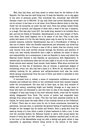Well, they had them, and they meant to retain them for the defence of the Republic. For this was the chief thing now. To keep the Republic, not to slip again in the mire of personal power. This everybody felt, everybody saw—300,000 Parisian voters out of 328,000. To say that Paris had turned Republican would not be correct: it has been so in all times, from Etienne Marcel down to this day. Under the old monarchy as under the last ones, Paris has always looked freely in the face of tyrants, and disposed of them with a wink of the eye, a lampoon, or a laugh. This was why Louis XIV., the model king, wanted to be invisible like a god, and hid his foibles at Versailles. Republicanism is the very temper of Paris, even when Paris itself happens not to be aware of the fact. That it had been pretty well aware of it for the last twenty years may be seen by its votes. In the present instance, however, Republicanism was not a fructification of feeling: it was one of reason. After the dreadful experiences just witnessed, any street-boy understood that it was to France a case of life or death; that the country could only recover from such terrible wounds through the devotion and exertion of every one; that nobody henceforth had a right to abdicate his share of labour and responsibility. As a consequence, it was not Republic in name only which the National Guard wanted—it was Republic as synonymous with Regeneration. It seemed that old institutions alike and old men ought to be put on the retired list. Fresh schools were wanted, fresh morals, fresh leaders. What alone survived the shipwreck, on that sea of desolation, was an intense, a passionate disgust of everything, every one, who had had a hand in it. Work for all, education for all, military training for all, patience and self-government—such was the motto which sprang unanimously from the soul of Paris, and which it embodied in this single word Republic.

It borrowed from it, indeed, a sense of comparative confidence—almost of intimate and subdued joy—which to the uninitiated would have seemed singular under the circumstances. The men had in their eyes, at that very moment of defeat and misery, something bright and healthy. Strange as it may seem to those who have not witnessed it, and who have no idea of the change which the contagion of duty may bring on the most obdurate minds, crime had for months wholly disappeared from Paris. The courts of justice had suspended their sittings from actual want of cases. (The fact has been admitted publicly by M. Claude, for thirty years the head officer of the criminal service at the Prefecture of Police.) There was no more room for sin in those consciences renovated by patriotism. And just then, to symbolise the general feeling of hopefulness, spring brought on the ravaged city its smiles and flowers. Here a sprig shot from the sawn-up stump of a tree; there a patch of grass hastened to hide a ruin. It was now the uncostly fashion for National Guards to adorn with young leaves the muzzle of every gun and rifle. Battalion after battalion marched past in the sun to the tune of the Marseillaise sung out with a feeling and gusto which it was impossible to appreciate without being moved to the bottom of the heart.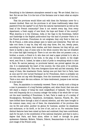Everything in the lukewarm atmosphere seemed to say: 'We are licked, that is a fact. But we are free. It is the turn of the Germans now to learn what an empire is worth!'

That the provinces would follow suit with them the Parisians never for a moment doubted. Have not the provinces in all times traditionally taken their password from the capital? Is not Paris the natural representative as well as the head of the French community? Does it not receive every day, from every department, a fresh supply of new blood, the hope and flower of the country? What America is to the Irishman, India or the Cape to the Scotchman, Oxford and Cambridge to the English public-school boy—the land of promise—Paris is to the French provinces. Frenchmen do not emigrate; they only flock to that one He de France, a wide arena always open to talent and enterprise. They will not take root there; it may be, they will only stay three, five, ten, twenty years, according to their wants, their studies, and their chances; but they will go, and there is hardly a man of some note in the whole country who has not breathed for a time that light bracing air. There is not one who does not possess a son, a brother, a cousin, a friend in it; who does not read a paper printed in it; who is not intensely interested in the book, in the play, in the speech, in the single word, sent from it. Indeed, he takes a kind of pride in everything which is done in Paris. No narrow jealousy, no provincial hatred, can prevail against the pet city. It is emphatically the heart of the country, the vital point of its political, literary, and artistic life. This even foreigners know well and feel intensely. How many of them, like Anacharsis Clootz, having once put their foot in Paris, have at once and for ever turned Parisians! As for Frenchmen, there is probably not one who does not say with Montaigne, from the innermost recesses of his soul, 'Paris a mon cœur dès mon enfance. Je l'aime tendrement, jusques à ses verrues et à ses taches.'

Then, its population is constantly renewed. There is hardly such a thing as a man in possession of a long Parisian pedigree, and, when found, that rara avis will stand a chance of being the most insignificant of badauds. Your Parisian born will frequently die in a country cottage—the hobby of his whole life—or turn out the most travelling of Frenchmen. In fact, Paris is made up of a motley of Bourguignons, Normands, Dauphinois, Auvergnats, Gascons, Picards, &c., who have drifted there through a kind of natural selection, and who have brought to the common mass, every one of them, the characteristic of his province—this one its fire and ardor, another its genius for business, another its steadiness and endurance, or its thrift, or its love of art, and so on. For centuries those distinct features have been mixed up there and combined; they have contributed, each for its part, to the constitution of the national character, and that to such a degree that Paris, and Paris alone, either in itself or through its great spokesmen—Rabelais, Moliere, Voltaire, Diderot, Beaumarchais—is the true and pure image of the French unity.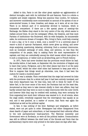Added to this, Paris is not like other great capitals—an agglomeration of distinct boroughs, each with its individual life and features. Paris is a whole—a complete and simple organism. Being less populous than London, for instance, and moreover considerably more concentrated on account of its system of six or seven-storied houses, it rises, breathes, and sleeps, as it were, all at one time. There is no distinct part of it exclusively devoted to business, which is transacted everywhere. If there are a few special places of meeting—the Exchange, the Halles—they stand in the very centre of the city, which seems to radiate around them. So are the newspaper offices, the theatres, and that most Parisian of institutions—the Boulevard, with its wide footpaths, its innumerable cafes, its continuous stream of loungers. Who, living in Paris, could help crossing it once a day, or be it once a week, once a month? It is a universal place of resort—a kind of open-air Parliament, which never gives up sitting, and never stops analysing, questioning, debating, criticising. Such a constant intercourse, suck an incessant exchange of news, ideas, and opinions, no less than the composition of its people, help in making Paris the most representative of capitals; and they are undoubtedly among the chief causes which have given to it such a conspicuous, or rather such an all-absorbing, part in French history.

In 1871, Paris had never doubted that the provinces would follow its lead. Six months before, it had made, on September 4th, the revolution of disgust only to learn that Lyons, Perigueux, and a few other places had done it at the same hour as itself, whilst the other chief cities had hastened to keep pace with it. How to suppose that things would go otherwise, now, than it had been the custom for nearly a hundred years?

Still, it was a mistake. Paris overlooked that the siege had severed its links with the provinces—that for a whole half year it had been entirely insulated, and that every department had, for that time, been left to think for itself. Of the latter fact, in the truer sense of the word, the Parisians had not the least idea. Accustomed as they were to take interest chiefly in their own affairs, they had hardly noticed that they were no more in daily intercourse with the outer world; and however little they may be credited with modesty, they were certainly far from supposing how much their influence was wanted in it. At all events, when the siege ended, everybody supposed that the interregnum was equally at an end; and it was granted, as a matter of course, that Paris was again the intellectual as well as the political capital.

In fact, it was nothing of the kind. Railways and telegraphs, as before stated, were not yet quite in order. Newspapers had either disappeared from sheer dearth of paper and subscribers, or had transported their editorial offices to the new parliamentary head-quarters. The National Assembly and Government were at Bordeaux; so were all the political leaders. Communication was still so difficult between the chief town of the Gironde and Paris that the parliamentary reports were only printed in the latter place six days after date.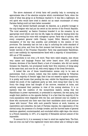The above statement of trivial facts will possibly help in conveying an approximate idea of the absolute surprise which overwhelmed Paris, when the news of what was going on at Bordeaux reached it. It was like a nightmare. An evil spirit who would have tried to sketch out an exact counterpart of every Parisian feeling could not have better succeeded.

Paris had elected Garibaldi amongst its deputies, as a grateful homage to the only foreigner who had put his sword at the service of the French Republic. 'The rural assembly,' as Gaston Cremieux branded it on the occasion, by an appropriate word which cost him his life, began its sittings by hissing down the hero, and covering his voice with outrageous uproar. Paris was of opinion, with every competent general (with Chanzy, Loysel, Billot, Mazure), that the resumption of the war was possible, and preferable to the cession of two provinces. The Assembly had not lost a day in unfurling the noble standard of peace at any price, and from the first moment had thrown the country at the tender mercies of the Prussian Chancellor. Paris was passionately Republican; and it saw suddenly its representatives faced with a majority of monarchists,— 450 out of 750 members.

Monarchists is not even a fit word. They were rabid emigres, men whose very names and language France had never heard since 1815, pontifical Zouaves, devotees of the Sacred Heart; a host of crusaders, who did not merely threaten the Republic, but proclaimed loudly their firm intention of doing away at the same time, and once for all, with every legacy of the Great Revolution.

It looked like one of those transformation scenes only to be seen at pantomimes. Such a miracle, indeed, was this sudden hatching by Voltairian France of a majority of Jesuits' eggs, that it has not ceased to appear suspicious. It is pretty well known that pending the war,—whilst the Republican party, and indeed the youth of the Legitimist party as well, were doing their duty to the front,—the clergy alone had thought of the morrow, remained at home, and actively canvassed their parishes in view of the coming elections. It is no mystery that the coalition of the monarchical leaders, seeing that the Republicans in power represented, or pretended to represent, the war party, had sought their platform on the opposite feeling. It is a fact that the majority of the rural populations were disgusted with the war, and listened only too readily to those who murmured into their ears that their candidates alone could procure 'peace with honour.' Even with such powerful factors at work, however, as superstition and cowardice, the lack of Parisian impulse, the organisation of the clerical army, the presence of a foreign invader, and the hurried haste of general elections—gazetted, countermanded, and concluded within eight days—the return to a French Assembly, in 1871, of a majority of Belcastels savours almost of the impossible.

To account for it, it is necessary to bear in mind two capital facts. The first, that not even one half of the registered voters were either able or willing to take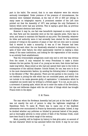part in the ballot. The second, that in no case whatever were the returns seriously investigated. Under pretence of the pressure of circumstances, the elections were validated wholesale, at the rate of 100 or 200 per sitting; in many cases on telegraphic reports. A prominent member of the Left once pointed out that the Assembly of 1871 was perhaps the only Parliament in history which never had any archives. This is saying a good deal, as previous and subsequent elections have shown.

However it may be, one fact was henceforth impressed on every mind—to wit, that Paris and the Assembly were at the two opposite poles. Paris was in arms, and meant to maintain the Republic at any price. The Assembly, whatever its titles and authority were—it had avowedly been elected for the restricted purpose of voting on the question of peace or war—did not even care to conceal that it wanted to make a monarchy. It was as if two Frances had been confronting each other: the one fanatically attached to decayed institutions, in spite of their utter failure; the other passionately resolved on making a clean sweep of the same institutions, and looking for the regeneration of the country to an entirely fresh establishment.

That the irreconcilable antagonism could only end in civil war was obvious from the outset. It only remained for every Frenchman to make a choice between the two parties. By most of us, young as we were, that choice had been made long before. Many joined us who had just opened their eyes to the truth in consequence of the national disaster. Colonel Rossel, for one, was soon to do so in the most characteristic fashion, by sending the following letter of resignation to the Minister of War: 'Mon general,—There are two parties in the country. I do not hesitate in joining the side which has not concluded peace, and which does not include in its ranks generals guilty of capitulation.' A declaration which he completed one month later by writing to a British paper: 'It is not, as you put it, a movement of passing spite, which led me to enter the ranks of the Revolution, but ripe and deliberate disgust with the old order of things which has brought France down to the abyss.'

#### II. M. Thiers.

The man whom the Bordeaux Assembly had just put at the head of affairs was not exactly the sort of person to allay the legitimate misgivings of Republican Paris. To name M. Thiers was to name one of the deadliest adversaries ever encountered in France by democratic principles. Indeed, it may be doubted whether any politician so blinded by personal hatred of the people, and so thoroughly adverse to every article of faith of the Parisian Credo, could have been found in the whole range of the century.

Much, possibly, will be forgiven by history to that grim actor, on account of the last character which he has assumed before the world. It may be our sons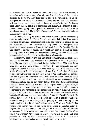will overlook the blood in which the diminutive Moloch has bathed himself, to remember only that he was, after all, the first President of the definitive Republic. As for us who have been the subjects of his vivisection, for us who have paid the cost of his final conversion—thousands with our lives, thousands with our liberty, our country, and our home—we must be forgiven for looking more closely into the realities of the presidential dummy, and showing it, not as a success-worshipping world is pleased to consider it, but as we saw it, as wo were bound to see it, in March 1871—from a moral, from a democratic, and from a republican point of view.

Let the reader fancy for a while that he is a Parisian; that he has earnestly done his duty during the Franco-German war; and that either from mature conviction or from more recent illumination he has come to the conclusion that the regeneration of the fatherland can only result from self-government, practised through universal suffrage, in its logical shape of a Republic. Then let him attempt to picture for himself what would have been his feelings on seeing suddenly placed at the helm, by a monarchist assembly, the most exclusive, the most prejudiced, and the most old-fashioned of royal servants.

M. Thiers was then seventy-four. In point of administrative habits and ideas he might as well have been considered a centenarian, or rather a prehistoric being. Not one single principle which he had imbibed about 1820 from Baron Louis had he ever been known to renounce. He was personally the same enlightened individual who, some forty-five years ago, when a bill was submitted to the Chambers for the construction of the first French line of railways, objected strongly, on the plea that there would be 'no breathing in the tunnels,' and that to grant the permission would be to send the people to certain death. As an economist he was not even as advanced as the physiocrats of the eighteenth century, and he saw hardly further than protection against foreign goods and heavy taxation on raw products. As regards military organisation, he was known to oppose universal service, and was supposed, not without cause, to be adverse to every innovation just consecrated by victory. In morals he was a disciple of Talleyrand. In politics, an Orleanist. Not merely an Orleanist, but the recognised leader and the very incarnation of Orleanism. The chief actor in the original farce of 1830, he had been again and again a Minister under the monarchic bourgeoise; he had enjoyed the pure joy in 1848 of seeing his own creation going to the dogs in the hands of his rival, M. Guizot; finally, he had remained for twenty years in his shrine of the Place St. Georges under the Empire, the sun, the centre, and the god of a constellation of Orleanist worshippers. In his drawing-room, one did not say, 'les princes d'Orleans,' but simply 'les Princes.' Any person in Europe questioned in 1871, and even, probably, in 1872, on that momentous subject, 'What is M. Thiers as a politician?' would have replied at once, 'By all means an Orleanist.'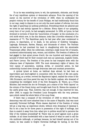To us he was something more; to wit, the systematic, obdurate, and bloody foe of any republican system or democratic advance. From the opening of his career on the morrow of the revolution of 1830, when he confiscated the people's victory for the benefit of Louis Philippe, we had traditionally found him in our way, ready to dispute to us not only the most modest of reforms, but even the right of asserting our political preference. Everything which we admired and we loved he had sternly opposed for a lifetime. Every object of our sympathy, every hero of our youth, he had savagely persecuted. In 1834, at Lyons, he had drowned in torrents of blood the 'insurrection of hunger,' at the conclusion of a civil strife which now, in the dim distance, looks like a horrible rehearsal of the massacres of '71. The Republican party he had year after year condemned to prison, to deportation, or to death, in the persons of Godefroy Cavaignac, Lagrange, Kersausie, Barbes, Blanqui, and thousands of others. The Parisian proletariat he had practised his hand in slaughtering with the abominable Transnonain affair, when his cutthroats, entering a large house full of tenants, murdered indiscriminately men, women, and children. The freedom of defence he had gagged in that epical proces d'avril, the one hundred and twenty political accused of which had for their counsel such men as Lamennais, Auguste Comte, and Pierre Leroux. The freedom of the press he had trampled down with the infamous laws of September 1835. The most elementary rights of labour, the very names of association, meeting, strike, or concerted action, he had unmercifully hunted down through draconian laws and constant prosecution.

A cynical tyrant at home, an habitual dupe abroad, he had been as improvident and short-sighted in connection with the future of Ms own party. After having, as a writer, revived the Napoleonic legend, exalted the crime of the 18th Brumaire, and thus paved the way for the fatidic nephew, who dreamed of completing the intelligent work of the first Bonaparte, M. Thiers, as a Prime Minister, had erected the Arc de Triomphe, put a statue of the 'Petit Caporal' on the column of the Grand Army, and brought back from St. Helena the remains of the useful great man. That, however, was not enough. It was reserved for him, after 1848, to supply the President Louis Bonaparte with the very pretence upon which rested the whole fabric of his coup d'etat.

If there was a conquest of the revolution of 1848 to which the French democracy was still more attached than to the name of Republic, that was most assuredly Universal Suffrage. Whole classes deprived of the freedom of voting will go a long way, as experience shows, without even dreaming of claiming it. But to let a man be for three years in possession of the right of suffrage, and then to snatch it away from him—what tyro in politics would fail to perceive the folly of the reckless proceeding? M. Thiers was no proof against such a gross mistake. At all times hoodwinked with a base hatred of what he used to call the vile multitude (although, or perhaps because, he had himself sprung out of its ranks), he was unable to forgive Universal Suffrage for having, in the first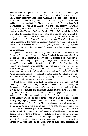instance, declined to give him a seat in the Constituent Assembly. The result, by the way, had been due chiefly to clerical influence, and M. Thiers, suddenly as well as sorely perceiving what a part still remained for the parish priest in the working of Universal Suffrage, had at once, unhesitatingly, turned a new leaf, and become a professed Catholic. The temporal power of the Pope had henceforth no stauncher supporter. So he had his seat at the complementary ballot, under the patronage of the Bishop of Orleans, and he took it with the firm resolve of doing away with Universal Suffrage. The ally of M. de Falloux and the old Duke de Broglie, the managing spirit of the Comite de la Rue de Poitiers, he led the campaign which culminated in the law of May 81st, 1850, and took back the electoral franchise from three million voters out of nine. Meanwhile, through his violent speeches in the Assembly, especially through his unfair replies to the otherwise weak Socialist programme developed by Proudhon, through a perfect shower of cheap pamphlets, he scared the peasantry of France, and trained it for any reaction.

Eighteen months later, the campaign went to its natural conclusion. The Pretender Bonaparte made his coup d'etat, dissolved the Assembly, shot down the defenders of the constitutional law, and took possession of France for the purpose of conducting her personally, through various adventures, to the memorable 'flagrant delit de formation' on the Rhine. The first line in the culprit's proclamation, after recording his own perjury, was the following pointed apology: 'Le suffrage universel est retabli.' At the early hours of the winter morning, when the white bills were posted on the walls of Paris, M. Thiers was arrested in his bed, and shut up in the Mazas gaol. There he was able to reflect in a cell on the danger of glorifying 18th Brumaires, abetting reactions, and playing the cat's-paw to pretenders.

'I wish all those people were dead, that I may write their story,' said W. M. Thackeray. It is not, be it stated, for the vain satisfaction of heaping obloquy on the name of a dead man, however guilty against his country and civilisation, that his career is summed up here. If such a futile aim were in view, it would be easy, forsooth, to find in his life still more revolting pages; to show him, for instance, a Home Minister, bargaining with Simon Deutz, under a tree at night in the Champs Elysees, for the betrayal of the Duchess de Berry; or again, penning the paragraphs which were to appear in the ministerial papers against her womanly honour. As a General Thumb in chambers, or a diplomatist-withthe-boots, M. Thiers would offer an easy prey to criticism; whilst his absurd conceit and unfathomable powers of mendacity could hardly be omitted in a finished sketch. His pretensions to philosophy, his alleged love of art, unreal and Ruolzed like everything in that narrow, selfish, cruel nature of a dwarf, would not fail to lend more than a touch to an altogether unpleasant likeness; and it would be found probably that, thirty years after date, the curiously witty lines written by M. Felix Pyat still hold good, when he burst forth, addressing M.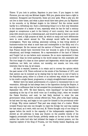Thiers: 'If you look to politics, Napoleon is your hero. If you happen to visit Florence, you can only see Michael Angelo. With you, giants alone have a right to existence. Bonaparte and Buonarotti, these are your gods. What a pity you did not live in their times, and what a place would have been given you by Napoleon in his councils, or by Michael Angelo in his Inferno!' But the review would hardly be a refreshing one. Such a distressing thing it is to find only blemishes in the character of a leader of men, especially when he has for half a century played so conspicuous a part in the history of one's country, that one would jump with sincere joy at a redeeming part, and would be glad to have to point out a word, a deed, a high purpose at least, by which so many and such deficiencies were to some extent atoned for. The attempt would baffle the minutest investigation. There was nothing, absolutely nothing, in that living skinful of business-routine but what is most base and contemptible in the filthy soul of a low shopkeeper. He the rescuer and the saviour of France! The only wonder is that France should have recovered from her wounds in spite of his financial, educational, and foreign treatment. He a representative of the land of Diderot and Turgot! Let no one believe such nonsense. He no more represented it than he loved it—than he loved anything in the world except his own miserable self. The true image of a class at once upstart and degenerate, which has got neither traditions, nor faith, nor culture, nor morality, nor muscle, nor love,—only interests: that he was, by all means.

All that is wanted, however, is to retain and to convey the opinion which the past career of M. Thiers enforced on the minds of the Parisians of 1871, and that opinion can be summed up by stating that he had done no end of harm to the Republican party, either in a direct or an indirect way, whilst he never had to his credit a single liberal, progressive, or simply straightforward measure.

Neither were his latest achievements of a nature to recommend him to our veneration. Although he had always been in the Opposition during the Empire, it was only on sufferance that he had accepted the proclamation of the Republic on September 4th, 1870. 'Eh bien! faites-la, votre republique!' he had been heard squeaking at the top of his shrill voice (as if scolding Judy), when we invaded the Palais Bourbon; and next, he had flatly declined to enter the new government—what, however, nobody offered him. Then, after a few days' sulking, he had seen his way, and began to cut a part for himself in the provisional order of things. Why mince matters? That part was simply that of a traitor. Whilst invaded France had only one thought—to repel the foreign foe—and was making her last stand, as it were, with one soul, M. Thiers thought only of one thing—to appear before the world in the capacity of the indispensable negotiator. Too shrewd an old politician to keep any illusion on the possible results of his beggarly promenade round Europe, perfectly awake as he was to the fact that neither the noble lord who had initiated the league of neutral powers, nor the Imperial nephew of the King of Prussia, nor the freshly beaten Hapsburg, and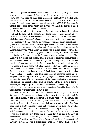still less the gallant pretender to the succession of the temporal power, would move a finger on behalf of France, M. Thiers went none the less on his canvassing tour. When he came back he had done nothing but to pocket a few rebuffs, coupled, of course, with a proportional amount of extra courtesies to his person. His real errand, however, was all the better fulfilled. He had what he wanted—the position of the goody Nestor, who saw and spoke out the truth, in spite of the mad Achilles of national defence.

His foreign job being then at an end, he set to work at home. The rallying point and the centre of the opposition at Tours and Bordeaux, he sent all over France the pass-word which was sure to be eagerly caught by the most narrowminded sections of the middle classes and peasantry—further resistance useless, pence necessary. A characteristic circumstance, which he took personal care to spread at that moment, showed in what light he had just tried to exhibit himself to Europe, and he wanted to be looked at in France as the liquidator elect of the national bankruptcy. 'When Count Bismarck was in Paris, about 1862,' he had related ad nauseam by all the papers at his command, 'M. Thiers was much surprised on a Sunday night at the Prussian statesman calling upon him. They had never met before; but Count Bismarck wanted to make the acquaintance of the illustrious Frenchman. "Confess that you are sulking with your friends and your books," said the iron man, in the course of the conversation; "let me make your peace with the Emperor." M. Thiers spoke of what he owed to his old ideas and associations. "Of course, ideas a man must have," was the prompt reply; "but he ought to scrve them by power."' Such tales as these, at a time when France looked so helpless and friendless, had an immense grasp on the imagination of country folks. Through Bishop Dupanloup he had them circulated amongst the clergy. With him he concocted the list of candidates to the coming elections, and he applied all his genius for intrigue, all the strength of his wide influence, all the prestige of his vaunted statesmanship, in obtaining that double end: an outcry for negotiation and a non-republican Assembly. Personally, he was returned by twenty-three constituencies.

Thus, in the past the professional enemy of the Republic, Universal Suffrage, and democratic aspirations; in the present the great elector and the elected of an Assembly, the characteristics of which were above all ultra-clerical and anti-republican—such were the auspices under which he assumed power. If only that Republic, the foremost, primordial object of our worship, had been maintained in effigy—in name at least! But even such a poor satisfaction we had not. Directly on the opening of the Assembly, the heading 'Republique Francaise' had disappeared from all public deeds. We were under so suspicious and provisional a regime, that there was no name for it in the dictionary. All Republican officials had either resigned or been discarded. M. Thiers himself was dubbed, not President, but 'Chief of the Executive,' a title which we construed, naturally enough, into 'chief executioner.' That the Orleanist leader of forty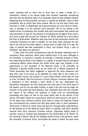years' standing had no other aim in view than to make a bridge for a restoration, nobody in his senses might have doubted, especially considering that this was the admitted object of an Assembly which he had modelled himself. Supposing that he had promised, just then, to uphold the Republic, there is little probability that he would have been trusted. Was he not the same Thiers who had said, in 1848, 'La Republique est le gouvernement qui nous divise le moins,' only to strangle it in his embrace more securely? Did he not belong to the refined school of politicians who profess with their arch-master that speech has only been given to man for the purpose of concealing his thoughts? Even such a poor bone to play with we had not, however. M. Thiers uttered not a word about the form of government. Whatever may have been at that particular moment his innermost intentions he kept to himself. On the other hand, although the war was at an end and the peace signed, a formal state of siege—that is to say, the reign of martial law—was maintained in Paris, and General Vinoy, a man of December, was kept as its governor.

It was under the above circumstances that the Bordeaux Assembly took in succession three measures, which were nothing short of an open challenge to the Parisians. It resolved to transfer its sittings to Versailles instead of Paris, thus depriving the latter of the dignity of a capital; it enacted that all prorogued commercial effects would become due within three days; and insisted on the appointment to the command of the National Guard of M. d'Aurelles de Paladines, a general chiefly known as the docile tool of Bishop Dupanloup. M. Thiers personally had either suggested or approved the three measures; and they were only, to his mind, as he admitted at a later date in the course of a parliamentary inquiry, the prelude to a more direct attack, which was not long to come. On March 12th the Governor of Paris, without a warning, without even a semblance of trial, through a mere stroke of the pen, suppressed five Republican newspapers. No such thing had ever been seen in the worst days of the Empire, and for the last eight months, in spite of the war and the siege, the freedom of the press had been absolute. Any unbiassed mind who will consider the nature of the offence, the situation in which such an extraordinary proceeding took place, as well as the name which was at the bottom of the decree, will easily realise the construction which we were bound to put upon it. At the same time, strenuous efforts were made to induce the National Guards into surrendering two hundred and fifty guns which were in their possession. Those guns, it should be noted, Paris had paid for, through public subscriptions, for the special use of the National Guard, which, in addition, had quit© recently rescued them from imminent Prussian seizure. Diplomacy having failed to succeed, resort to violence was attempted by the Government of M. Thiers. On the morning of March 18th all the available armed forces of the garrison, under the command of General Vinoy, surrounded the parks in which the guns were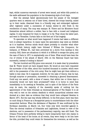kept, whilst numerous warrants of arrest were issued, and white bills posted on the walls addressed the population in the threatening style of evil days.

How the attempt failed ignominiously—how the people of the besieged quarters went in swarms out of their hives, cheered the troops heartily, mixed up in their ranks, disarmed them in a friendly way, and submerged regiment after regiment under a succession of human waves—is still fresh in the recollection of many. The coup was manque. M. Thiers and his Ministers found themselves almost without a soldier, face to face with a roused and indignant capital. It only remained for them to resign or to fly. They chose the latter part, and went to Versailles. Curtain falls on the first act of the tragedy.

To speculate on what would have happened if events had taken a different turn is always hazardous. In many cases the speculation may seem as childish as it is hopeless. Serious minds would object probably to consider what other course British history might have followed if William the Conqueror, for instance, or William HI., had been prevented by a storm from landing in this country. Still, there are situations in which it is difficult to escape the query, and the case of Paris in 1871 is emphatically one of them. What would have been the run of events if the attack of March 18th on the National Guard had been successful, instead of ending in failure?

The two hundred and fifty guns once secured, it is made clear by precedents that M. Thiers would not have stopped there. He would at once have requested the surrender of the rifles, about four hundred thousand in number, which were still in the possession of the civic army. How he might have got them without a battle is less clear. Be it supposed, however, for the sake of theory, that he had, through surprise or persuasion, succeeded in obtaining a general disarmament. Could any one assert, with a show of reason, that within two or three days a monarchy would not have been proclaimed?—when it is borne in mind that immediately on its meeting at Versailles, and in spite of the failure of the Paris coup de main, the majority of the Assembly spoke of nothing but the appointment of the Duke d'Aumale as lieutenant-general of The Realm! It is all very well to rest on the solemn deadlock to which monarchical schemes were doomed at a later date as evidence that they would have collapsed likewise in March 1871. But the case was wholly different. In the first place, there was then no such thing in France as a Bonapartist party to counterbalance both the other monarchist factions. When the déchéance of Napoleon III was confirmed by the Bordeaux Assembly, on March 1st, four votes only were recorded against it. Then the clerical coalition of Orleanists and Legitimists, formed in view of the elections, and in possession of the parliamentary majority, was still fresh. The Orleans Princes were perfectly willing to waive temporarily their own claims in favour of the head of the house; at all events, they were ready to let him have the title, provided they could retain for themselves the reversion, as well as the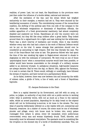realities, of power. Last, but not least, the Republicans in the provinces were just then under the influence of a double defeat, national and electoral.

After the excitation of the war, and the strain which had weighed exclusively on their energies, a reaction had set in. They were stunned by the bewildering succession of events. The overwhelming success of the monarchical coalition, the shifting of the political axis from one side of the compass to the other, the wholesale resignations or dismissals of Republican officials, the sudden apparition of a fresh governmental machinery, had almost completely disabled and scattered our forces. Republicans all over the country were not disheartened, but they felt like stray soldiers after a great battle. They looked around them for a signal-board—for a light—and saw nothing but the wilderness. There was a short interval of hesitation and trouble, when it was doubtful whether every man who had had a share in the work of National Defence would not be put on his trial. It seems strange that patriotism should ever be considered as amounting to high treason. Still this was literally the case. The turn of the franc-fdeurs had come at last. The generous fellows who had spent the time of the war smoking big cigars in Regent-street returned in shoals to stigmatise ns with the nickname of outranciers. We were truly at one of those 'psychological hours' when a monarchical surprise would have been possible, or rather would have become unavoidable on the strength of a military success added to an electoral triumph. In ambiguous situations, high-handed measures are always decisive. Had he won the day, on March 18th, against the Parisians, it is next to certain that M. Thiers would, willingly or unwillingly, have followed the stream of reaction, and have turned out a parliamentary Monk.

As he failed, however, there was now between him and monarchy the width of sixteen miles, a girdle of forts, a line of walls, and a forest of Republican bayonets.

#### III. Jacques Bonhomme in the Chair.

Here is a capital deserted by its Government, and left with no army, no police, no judges, no authority of any kind; with not a public service in working order; what is positively worse, with not as much as a franc in the national safes, whilst an armed population, depending for its daily bread on the stipend which will not be forthcoming to-morrow, is let loose in the streets. The very ideal of anarchy deliberately inflicted on a city replete with art, commercial and financial, treasures. As a matter of course, the scene must be one of wholesale plunder and pillage: every rich house must be broken into; every palace rummaged from cellars to attics; every till ransacked; every public-house overcrowded; every man and woman hopelessly drunk. Theft, disorder, and immorality must be witnessed everywhere. The spectacle must be something like the irruption on the doomed city of a horde of bloodthirsty cannibals. This, not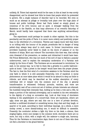unlikely, M. Thiers had expected would be the case; in this at least he was sorely disappointed, and he showed how little he knew that people which he pretended to govern. Not a single instance of disorder had to be recorded. Not even so much as an attempt at pillage or brutality took place over the huge plain of houses and public buildings. Never had Paris looked so simply grand, so conscious of its civic honour, and so quiet. A stranger walking from the Madeleine to the Bastille, on that hazy afternoon of an eventful Saturday of March, would hardly have supposed that there was anything extraordinary going on.

The experiment could perhaps be unsafe in other capitals. But this is the peculiarity and the pride of Paris: it is never more orderly and positively proper than in the whirlwind of a revolution. Thieves and rogues know well that there is no trifling with the honour of its people; prostitutes feel in danger of being pelted—they always keep aloof in such cases. In former insurrections some provident busybody never failed to chalk on the doors of palaces or on the shutters of shops, Mort aux voleurs! The innovation this time was, that nobody even dreamed of the precaution, so useless and chimerical it would have been. Old Prince Metternich, who was not much of the sort of man to fathom a popular undercurrent, used to explain the exemplary moderation of a Parisian mob simply by the force of habit. 'The Parisians are so accustomed to revolutions,' he said, in his cynical way, 'as to feel in them like a grisette in a public ballroom quite at home.' 'Like a priest in the temple' would have been the proper phrase. The fact is, that the first wind of a revolution awakens in the Parisian mind the only faith to which it is still amenable—fraternity, love of mankind. A moral phenomenon at once takes place which it would be as absurd to deny as futile to ridicule, and which may be described as the sudden absorption of every individual will or temper into the common soul of the city. A general transformation is witnessed. Ordinary pursuits, vanities, and vices are provisionally cast off as a worn-out set of clothes; private interests are silenced; the humblest being feels intensely that, holding as he does a vote and a rifle, he keeps a portion of the national sovereignty, and is exalted in his own estimation to the dignity of a king on coronation day. Look at that troup of choristers waiting in the amphitheatre of a concert-hall. Some are handsome, others are ugly; some are gay, others are sad; this one is a hero of private devotion, another a confirmed drunkard or something worse; they chat and they laugh, or quarrel or be quiet, according to their individual leanings. As a whole, a more motley crowd, a more dismal-looking one, it would be difficult to assemble. Presently the conductor strikes a light dry blow on his desk; a silence, then singing begins, every soul merges in the common work; choristers there are no more, but only a choir, with a single will, the cadence—a single aim, harmony. Thus for the Parisians on insurrection days; there is not one of them who does not feel a chorister in the grand festival.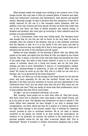What perhaps makes the change more striking is the common error of the foreign tourist, who only sees in Paris its outward glitter of theatres and cafes, shops and restaurants, couturiers and hairdressers, male dancers and painted women. Naturally enough, he fails to perceive that this machinery of fast life is chiefly reserved for the use of a few thousand native Sybarites, with the addition of his own virtuous self from abroad. He does not know that under that veil is the real Paris, the Paris of skilled workmen and zealous artists, of thinkers and students, who never give up revolving in -their collective mind the problem of social perfectibility.

As for a Government, never mind that trifling detail. The Parisians know well enough that for one lost two will be found, at the very least. So that at midnight, after the closing of the theatres, they go to bed, perfectly convinced that the Republic is safe, as it is in the hands of the civic army, and that at breakfast to-morrow they can hardly fail to find in their paper that a fresh set of ministers has sat down in the armchairs just left vacant.

Neither are they mistaken. On the morning of March 19th, the official bills posted on the walls, and dated from the Hotel de Ville, are signed by the Comite Central. This, it seems, is the title of the new body which has assumed the reins of the public team. But what is that Comite Central? A score or so of obscure names, of nobodies, whom not a living soul knows, who for the first time, perhaps, are seen in print. Bootmakers, it may be, or counterjumpers, railwayporters or chimney-sweeps or passers-by. Is that not awful? What does that mean? Nil mirari as much as you like. Still, this is a little too hot even for a Parisian. Am I to be governed by the Great Unknown?

Why not, sir? Have you not had enough of the Great Known for the last few years, and more especially for the last few months? Known men for your generals in the field, and your ministers in council, and your diplomatists in the conference-room? Don't you see where they have led you? Why would you not try entirely new men? They can hardly do worse than their predecessors, and it is quite possible that they will do much better.

All right. I am not a prejudiced individual. Let us see.

Well, honestly, those people are no such fools, after all. They find money, feed Paris, know how to maintain order; they speak a clear simple French, and go to the point at once. 'The Republic was threatened; we want to uphold it. The public offices were deserted; we have thought it our duty to attempt their reorganisation. Let Paris, which has been for a quarter of a century deprived of the right which belongs to the poorest hamlet, that of electing its communal council, proceed at once to municipal elections. We do not want to impose ourselves on the people, but merely to do duty during the interregnum. As evidence of our good-will, we summon the electors to the ballot-boxes on the shortest possible notice—for the day after to-morrow, March 22d. Vive la République!' Wonder of wonders! A de-facto Government speaking only to state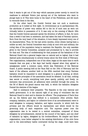that it wants to get out of the way—which assumes power merely to record its readiness to abdicate! Rulers just sprung out of the darkness who want to plunge back in it! This went home to the heart of the Philistines, and did much to reconcile them to the idea.

On the other hand, the Comité Central was not such a mushroom production as it looked at first sight. In revolutionary as in parliamentary life, the attributes of power very seldom fell to the lot of such men as were not virtually before in possession of it. It was only on the evening of March 18th that the Comité Central assumed openly the direction of affairs; in fact, for more than a week it had been in existence, and had taken the lead of Parisian opinion. Born from the very heart of the situation, it bore deeply impressed every one of its characteristics. Thus, for the last seven months, every citizen having been a soldier as well, the Central Committee was a body at once civic and military; the ruling idea of the population being to maintain the Republic, the only mandate given to the Central Committee, accepted and proclaimed by it, was to provide for that end. The idea of confederating for that purpose all the battalions of the National Guard into a general league was so natural and so logical, that it had dawned quite simultaneously in several brains about the first week of February. Two organisations, independent one of the other, began at the same time to work towards that one goal; a few days had hardly elapsed when they agreed to amalgamate under a common name, which was Federation of the National Guard. A public meeting held at the Vaux Hall on the 15th of February laid the basis of the alliance; another held on the 25th resolved that every Parisian battalion would be requested to send delegates to a general meeting, at which the definitive principles of the association would be debated. In all that, nothing was secret or occult; everything took place openly, publicly, and freely; no exclusion was pronounced, all adhesions were solicited through the press. On the 3d of March the grand caucus was held, in which the battalion delegates framed the statutes of the league.

Said in substance their preamble: 'The Republic is the only rational and lawful government. It is the natural right of an army of volunteers like the National Guard to elect and to dismiss its officers.' The programme of Paris thus set up, the federal pact was defined in a succession often articles. Each company, battalion, and legion (or collective force of an arrondissement) were to send delegates to company, battalion, and legion councils, in which both the privates and the officers would be represented, and which would be the governing body of each respective unit. The supreme power over the organisation was to be vested in a central committee, composed of three delegates by arrondissement, elected by the council of the legion, and one chief of battalion by legion, delegated by his brotherofficers. No simpler and fairer organisation, none better adapted to the existing distribution of the civic force and to the semi-military habits contracted during the siege, could have been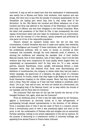contrived. It may as well be stated here that this masterpiece of statesmanship was mainly due to Moreau and Varlin, both workmen, both superior and rare beings, who were soon to pay with the penalty of summary assassination by the Versaillists the leading part which they took in that initial deed of the Revolution. On the 13th March two hundred and fifteen battalions out of two hundred and forty had adhered to the statutes of the Federation, had renewed their body of officers, and sent their delegates to the Central Committee. When the latter took possession of the Hotel de Ville, it was consequently the most regular Government which had ever taken its credentials from an insurrection, since it was the outcome of a free election, openly prepared and performed by nine parts out of ten of the responsible population.

Obscure citizens its members mostly were. But did not that very circumstance, of which Versailles was soon to make such capital, bear testimony to their intelligence and honesty? If these individuals, with nothing in them of the professional politician, with no name, no money, no journals at their command, had succeeded, through the most elaborate mode of selection, in winning the confidence and obtaining the mandate, first of their brother National Guards, then of their battalion, next of their legion,—was it not the best evidence that they were conspicuous for some quality which singled them out emphatically as representative men? So they were too. To a man, earnest patriots, staunch Republicans, brave, upright, well-meaning fellows; a triple character which they had obtained from those most discriminating and fastidious of constituencies, the company in whose ranks they had just made a winter campaign, the guard-room of a battalion, the glass house of a Parisian neighbourhood. So honest, indeed, that they began to get fidgety as soon as they found themselves treading on the official carpets. Never had they dreamed of such a thing. They felt uneasy, as if they had been walking in somebody else's shoes. 'Let us go,' they said at once; 'we were not elected as a Government, but as the managing body of the National Guard. Let us keep within the bounds of our mandate, and let Paris elect its Commune.'

The Commune! That had been for the last few months the war-cry of the besieged Parisians. But, again, what was the Commune?

From an obsidional point of view it was the right claimed by the Parisians, against a Government as obviously foolish as it was self-appointed, of participating through elected representatives in the direction of the defence. From a municipal point of view it was the claim of Paris to a common council. From a revolutionary point of view it was something higher and more to the point, to wit, the condensation of Parisian wills and energies into an exclusively Parisian assembly, resting on the armed organisation of the city by sections, for the purpose of demurring to a treacherous verdict of universal suffrage, and appealing from abused France to France better informed.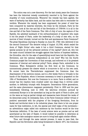The notion was not a new discovery. For the last ninety years the Commune has been the historical remedy consistently resorted to by Paris against the stupidity of rural constituencies. Whenever the remedy has been applied, the wave of barbarity has fallen back, and the nation has been able to reconsider its verdicts. Whenever the remedy has been suppressed, the power of mind has been conquered by material interests, the brain by the stomach, Paris by the provinces. Look at the rise and fall of the Revolution of 1789-94: it is all in the rise and fall of the Paris Commune. This 14th of July of ours, the capture of the Bastille, the admitted landmark of the enfranchisement of mankind—who made it but the people of Paris, under the leadership of a body of men who, on the morrow of their triumph, turned out the first and spontaneous Paris Commune? The great Republican warning to Royalty on June 20, 1792—who delivered it but the second Commune? The decisive rising of August 10,1792, which sealed the doom of 'Right Divine'—who made it but a third Commune, elected for that special purpose by all the advanced sections of the capital? Above all, who but the same council initiated the struggle against that faction of hopeless babblers, the Girondins, who for the sake of speechifying would have lost the Republic, the Revolution, and the national independence at one time? Who but the fourth Commune purged the Convention of that scourge, and enforced on it its greatest measures of internal and external policy? Paris, always Paris, embodied in its Commune. When Robespierre strikes his first blow at the Commune, he unconsciously greases the cleaver which is to-morrow to fall on his own neck. No sooner have the Thermidorians suppressed the Commune than the disarmament of the sections ensues, and in a few weeks Paris is virtually in the hands of the Royalists, whom it becomes necessary to treat to grapeshot on the 13th of Vendemiaire. But now the Commune is no more; Paris is stilled; and no sooner has the reaction been crushed under one shape than it revives under another, to definitely triumph with Bonaparte. Generations follow generations, and the same phenomenon reappears persistently. First in 1830 and the year immediately following, next in 1848, the laborious evolution pursued by continental Europe is in the ascendant as long as the spirit of Paris is alive, and on the wane as long as partial risings and massacres have thinned the ranks of its democratic army. So intimately, then, is the Paris Commune (either virtual or positive) associated with the progress of the foregoing Revolution, from its feudal and territorial down to its industrial phase, that there is but one proper name for that institution, to wit, the special and chief organ of the movement; an adventitious organ called into existence by the function would be the true Darwinian definition. If the laws of social science were as precise and as well ascertained as the laws of Kepler, it would indeed be possible to determine at what future date analogous causes are sure to bring back again similar effects.

Thus, and through the same natural process, it came to pass that, the Republic and the Revolution alike being threatened in March 1871, the Commune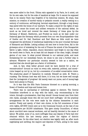was anew called to the front. Ultima ratio appealed to by Paris, be it noted, not for its own sake, but for the soke of mankind at large. For it cannot be supposed that in its misery Paris was forgetful of its historical mission. No sham, that mission; no creation of morbid vanity or pedantic conceit: a reality resting on a century of continuous, self-denying, heroical experiment, through a long dreary way paved with the bones of our martyrs. To make a stand for the rights of man was to our sense the truest and noblest revanche of the national defeat. As much as we loved and revered the sweet Germany of times gone by—the Germany of Mozart, Beethoven, and Froebel—as much as we kept under our fraternal gaze the Germany which proceeds from our own Encyclopaedists—that of Goethe and Dr. Gall, Buechner and Karl Marx—as little could we have recognised the attributes of intellectual leadership in the poor ironclad Germany of Bismarck and Moltke. Letting solitary old men bow to brute force, fall in the grotesque error of mistaking for the end of France the wreck of the Bonapartist fabric—a light, rotten, impudent, stucco decoration—and forget in one day what the world owes to Paris, we at least did not despair of the clear, bright, intrepid genius of our race. In what proved bitterest to our national pride, and most threatening for our immediate future, we chose to see only a further step in advance. Whatever our particular country seemed to lose as a nation, we resolved that she should gain as a factor of civilisation.

And, in fact, what better ground could we have desired for a trial of reconstruction? Around us ruins on every side, material, political, and moral ruins heaped up not by us, but by a succession of so-called conservative rulers. The praetorian guard of Caesarion—in custody. Himself an exile. M. Thiers a runaway. The German host was still there, it is true; but we knew well enough that the 'protagonist of progress' did merely want our purse, and of money-bags there were plenty in France.

So it was that the fifth Paris Commune bloomed on a spring morning, a flower of freedom and hope and human love.

There was no canvassing or individual appeal to electors. The Central Committee interfered in no way with the ballot, only recommending to the voters, through a proclamation, that they should 'choose honest men from their own ranks, amongst those who did not court their suffrages.' All the practical arrangements for the vote were made by the citizens themselves in each section. Freely and openly, of their own choice, in the full conscience of their civic rights, 227,300 voters sent us to the Communal Council, at the rate of one representative per 20,000 inhabitants. This gave ninety Councillors, of whom about one-third were manual workmen, and all heartily devoted to the cause of labour. We polled, some of us, more suffrages than any deputy of Paris had ever obtained within the last twenty years under the regime of district constituencies. On the other hand, our election was legally valid, as, after much negotiating and cavilling, the mayors and deputies of Paris, acting in the name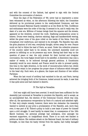and with the consent of the Cabinet, had agreed to sign with the Central Committee the convocation of electors.

Since the days of the Federation of '89, never had so impressive a scene been witnessed as when, on the afternoon following the ballot, the Committee delivered up its provisional powers to the newly-elected Commune, and two hundred thousand National Guards installed us at the Hotel de Ville. Confidence and enthusiasm were the order of the day. It seemed to be, and it really was, the dawn of a new era. Millions of human beings lined the squares and the streets, appeared at the windows, covered the roofs. Deafening acclamations arose to heaven. Drums were beating, clarions saluting, flags and handkerchiefs waving, whilst the great voice of the guns rolled on the banks of the Seine. Paris felt triumphant over misfortune, and rejoiced in its strength. The Republic was safe; the grim phantom of civil war, everybody thought, driven away for ever. France could not fail to follow the lead of Paris, as usual. Under the collective pressure of the country called back to its senses, the untoward Assembly could not persist in inflicting on us its presence any more. Having had their way on the question of peace or war, the only pretext for their hurried and irregular convocation, the rural fogeys would have to be satisfied. A dissolution was only a matter of weeks, to be enforced through general petitions. A Constituent Assembly would be soon elected; and France would be able to proceed quietly, this time in the right direction, to the work of reconstruction before her, whilst Paris would retain in her progress the proper share of influence which belonged to the head city. Such were, at a glance, the hopes and illusions of two million Parisians.

When the last round of artillery had vanished in the air, and Paris, having achieved the bringing forth of its Commune, looked around its walls, it saw that it was quite alone and had claimed in deserto.

IV. The Idyll at Versailles.

Civil war might still have been averted. It would have been sufficient for the Assembly just convened at Versailles to proclaim the Republic, and to accept, as an accomplished fact, the election of the Communal Council, which was only, after all, the spontaneous recuperation by Paris of a natural and admitted right. To that very simple remedy, however, there were two obstacles: the Assembly wanted to eschew at any price a proclamation of the Republic, and, more than ever, it was part of M. Thiers's policy to build a new lease of power for himself upon a civil struggle. It need hardly be stated that, in consequence of the 18th March business, his personal prestige had undergone, even amongst his warmest supporters, no insignificant shock. There is no such wet blanket in politics as failure. His reckless attack on the National Guard, his lack of military foresight, no less than his hasty retreat from the capital, had rudely damaged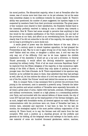his moral position. The Monarchist majority, when it met at Versailles after the recess, was of course more bent than ever on its pet schemes, but at the same time somewhat shaken in its confidence towards its chosen leader. M. Thiers's ability was questioned; his number of years suggested; his loyalism began to be suspected by members fresh from their provincial conventicles. The great peaceor-war nuisance once cleared to their satisfaction, the Royalists flocked back to the Assembly perfectly resolved in taking at once a decisive step towards a restoration. Now M. Thiers had sense enough to perceive that anything in that line would be the complete justification of the Paris movement, put one half of the provinces at our back, and afford us an overwhelming force. He saw no less clearly that if he did not subscribe to the will of the majority, the majority would not be long in providing for a more docile tool.

A senile greed of power was the distinctive feature of the man. After a quarter of a century spent in almost hopeless opposition, he had grasped the Premiership at last. Was he to see it again wrung out of his reach, this time for ever? Rather shell ten cities, or slaughter a million men. A civil war was the only way out of the difficulty. Civil war be let loose. Against the childish impatience of the Assembly it would act as a toy and a diversion; to General Thumb personally, it would afford the life-long wished-for opportunity of mounting his military hobby. 'First of all we must overcome Republican Paris!' he implored from the fifteen delegates of the majority, in that momentous nightsitting of the 20th of March, in which they only spoke of putting in power a younger man—the Duke d'Aumale. As M. Thiers expostulated in his specious way, however, as he unfolded his plans to them, they admitted that they had perhaps as well, after all, let him indorse the odium of a civil war and draw the chestnuts out of the fire, whilst 'the Princes' would wait behind the scenes as a reserve.

Now, to conquer Paris, it was necessary first to prevent the provinces from joining in the movement, next to assemble a powerful army. Towards the latter aim the position and actual condition of Versailles were especially favourable. At all times a great place of arms, replete with barracks, arsenals, drilling-grounds, and military conveniences, located on a high plateau in a commanding position over Paris, and surrounded with the natural defence of dense woods, the city of Louis XIV had just been used as the head-quarters of the German besiegers, and, as such, hedged with formidable works, all directed against our walls. Whilst our communications with the provinces were cut, those of Versailles had been, in inverse ratio, extended and improved. It had been in fact, for the last six months, the strategical capital of the most perfect military organisation of the century. M. Thiers found, so to say, the German nest still warm from the last occupiers. With such a position as a standing ground, all the prefects and generals at his bidding, all the telegraph wires and railways in his hands, and a raw material of some six hundred thousand gendarmes, sailors, marines,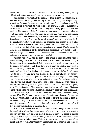recruits or common soldiers at his command, M. Thiers had, indeed, no very difficult task before him when he wanted to set an army on foot.

With regard to preventing the provinces from joining the movement, the task was easier still. They knew nothing of the Paris feeling, and sang no longer to the tune. It was only necessary to maintain an efficient blockade around the roused capital, to prevent its voice from being overheard, and to misrepresent its revolution as a wanton outburst of folly and crime, greediness arid evil passions. The members of the Comite Central and the Commune were unknown, or at the most rising, men; how easy to assume that they were professional knaves, thieves, and murderers, born foes of order and civilisation! Not a few Republican leaders in Paris, partly out of personal spite at being discarded by the population, partly out of lassitude or prudence, had chosen to keep aloof from an affray in which it was already clear that heads were at stake; how convenient to use their abstention as a conclusive argument! If only one of the acknowledged spokesmen of the conventional Republican party might be got to take the cudgels on behalf of the Assembly, and to denounce Paris to the indignation of the provinces, what a party stroke!

The man was found—nay, he courted the favour of performing the work of lie and calumny. As early as the 21st March, at the very first public sitting of the Assembly, that accomplished rhetor ascended the hastily got-up rostrum in the theatre of Versailles, and there, for a whole hour, he distilled the venom of his musical tongue upon the population which for so many years had returned him to parliament, and which had just granted him six months' credit of hunger, only to be led by him down the lowest depths of capitulation. 'Wretches,' ' miscreants,' ' scoundrels,'' in pursuit of he knew not what rapacious and bloody ideal;' ' cowards, who, after daring not to face the foreign foe, had reserved their blows for the fatherland.' Such were some of the compliments with which the hero of Ferrieres deigned to couple his introduction of our names to a gaping world. The 'satisfaction of low appetites,' that is what we had in view. 'Theft and pillage,' these were our aims. 'Murder and brutality,' such were our means. A lot of mutinous soldiers, themselves threatened with summary punishment, having on the 18th March shot two generals, Lecomte and Clement Thomas, we Parisians, two millions of us, who had no more to do with the accident than the Mikado or the Pope of Home, were of course the responsible authors of the deed. As for the members of the Assembly, they had only to look to their own safety, if they did not want to share in the same fate.

It is hard to realise what an evil impression such a desperate attack from the mouth of M. Jules Favre may have made at such a moment on a sensitive majority, only too ready to listen to such tales. But now, considered in the faraway past by the light of the surrounding events, what a sad heart-rending farce it looks! Pillagers, indeed—those National Guards who during nine weeks have fought without requiring anything but ammunition for themselves and bread for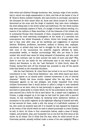their wives and children! Strange murderers, who, during a reign of two months, had to record one single assassination in Paris, and that at the hands of one of M. Thiers's Breton mobiles! Cowards, who have known no surrender, and died by the thousand for their cause! After all, those men whom honest M. Jules Favre denounced as the scum and the dregs of mankind, they have since undergone the most telling tests in the world—power and misfortune. For two whole months they were practically masters of Paris, of a budget of three millions sterling, of a reserve of ten millions in State securities, of all the treasures of the richest city in continental Europe—then thousands of them, conquered and prisoners, have undergone the most searching investigation at the hands of a merciless and unscrupulous foe; whilst thousands of others, driven into foreign lands, have had to face, year after year, all the hardships and suggestions of supreme distress. Workmen, professors, barristers, medical or literary men, employes, merchants, or artists—they have had to struggle for life on their own merits, with none of the unconscious but powerful supports afforded by habit, accumulated wealth, or familiar surroundings. Well, who are those in their number who would have cause for being ashamed of themselves, and who could not, on the contrary, cast on their accuser the smile of scorn and pity? Why, there is now but one simile for the unfortunate man in the whole range of history and literature, to wit, the 'Last Patriarch' in Little Dorrit, when Mr. Pranks, having first shot off the brimmed hat, proceeds to snip off the sacred locks that flowed on the venerable shoulders.

Like the Last Patriarch, M. Jules Favre has turned to be one of those sham contributors to the ' Great Social Exhibition,' who, with white beard and shorn upper lip, impose on an abused public 'outward accessories in lieu of internal character.' Hardly had three months elapsed after the day when he had fulminated against us his last philippic, and kindly requested from every civilised Government that it would decline to afford a refuge to such hardened malefactors as we were, when he had personally to appear at an assizes court, and there to plead guilty to crimes which, but for the prescription by time, would have secured him a berth for life at hard labour. He, a lawyer and a legislator, a Puritan, a judge wrapped up in his toga—he had lived for years with a married woman; he had committed forgery by declaring three adulterous children in succession to the public registrar as the legitimate offspring of himself and wife; he had secured for them, under a will, the money of a half-idiotic customer of his, who could not properly have left it to himself; he had repeated his forgeries at the vestry of the church which he used to attend punctually on every Sunday; he had, in short, for three or four consecutive lustres, made a mess of family, religion, and property. Alas, poor humanity! Let no one hurl the first stone at the sinner, by all means. But to think that the man, when he coiled around us his Ciceronian periods, actually writhed under a sense of his own indignity! What a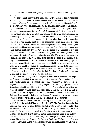comment on his well-balanced quousque tandems, and what a dressing to our wounds!

For the present, however, the mask still partly adhered to his austere face. He had only such trifles to make amends for as the absurd bombast of his defiances to Bismarck, his pas un pouce with lachrymal sauce, his partiality for the strategical powers of Trochu, and his diplomatic achievement of an armistice signed on behalf of the whole of France whilst he was himself besieged in Paris a piece of statesmanship for which, had Frenchmen at the time been in their senses, there would have been but one jurisdiction, to wit, a drum court-martial —especially considering that his harebrained announcement of it to the east provinces, which were not included in the articles, had for its immediate consequence the slaughtering of some thousands' extra men, and the total disaster of the Clinchant army; an infelicitous performance, to say the least, and one which would perhaps have enforced the advisability of silence and mourning on an average politician. But M. Favre was too much of a desperado to stop half way. The more consideration escaped his grasp, the more power looked necessary. He fastened to his ministerial portfolio like a drowning man to a plank; and he knew well, at the same time, that to the eyes of the Assembly his only unredeemable crime was to pass as a Republican. So that, finding a pretext at once for cancelling the notion, and exercising his biting propensities against a whole city, he could not resist the temptation. As far back as 1848 Ribeyrolles had classed him in the genus rattlesnake. He bore out the definition in 1871 by rushing at us with such sibilant alacrity that this time he broke up his fang, and he emptied—let us hope for ever—his poison-gland.

And now let the deputies and mayors of Paris make their weak attempt at pacification, and solicit from the Assembly the passing of a municipal bill. It is with vociferations and indignant cries that 'urgency' is refused for the proposition. Let one of them modestly request that the simple phrase 'Vive la Republique' should be added at the conclusion of a proclamation which only spoke of 'order.' Frantic noes will arise from nearly all the benches, and the suggestion will be trampled down with uproarious contempt. Let another hint that the Government is being led to 'launch the country into an unfortunate course of events,' he will be nearly knocked down from the rostrum.

Meanwhile, M. Thiers was not forfeiting that character for practicability which Prince Gortschakoff had given him in 1863. The Russian Chancellor had just seen him leave the roulette-table at Baden with a gain of five pounds, when he prophesied: 'M. Thiers is sure to return in power some day; he is so practical!' In fact, the time which the Parisians spent in negotiating with his delegates or electing their Commune in the most approved manner, he had put to good account: crushing in the bud the partial risings which had taken place at Lyons, Marseilles, St. Etienne, Le Creusot, Toulouse, Narbonne, or Limoges; calling to Versailles all the available forces which he could scrape out all over the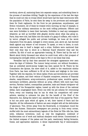territory; above all, cantoning them into separate camps, and submitting them to the process of merciless drilling. Taught by the experience of the last few days that he could not rely on troops which would have had the least intercourse with the population of Paris, he sent them far away in the provinces and exchanged them for fresh regiments. On the front he put gendarmes, ex-policemen, and Breton volunteers. All of these he treated every morning, by way of example, to three or four military executions on the most trifling pretences. Officers and men were forbidden to leave their barracks, forbidden to read any newspapers whatever, as well as horrified with ghastly stories about what was going on. Paris, they were told, had fallen into the hands of a gang of ruffians, who ruled it by terror, pillaged the public and private buildings, let loose all the worst characters from the gaols, indulged in every excess, and, above all, had decreed death against any wearer of red trousers. To speak, or even to listen, to such miscreants was in itself a danger and a crime. Soldiers were cautioned that their only duty was to shoot at a National Guard whenever they saw his uniform. By dint of such an appropriate training, M. Thiers had by the end of March about thirty thousand men whom he could trust, with a fair prospect of increasing his strength within a few days to five or six times that total.

Versailles had by that time assumed the strangest appearance ever seen since the days of Coblentz. The rumour being current, not without foundation, that an unlimited secret-money budget has been opened for M. Thiers by the Commission des Quinze, the mere smell of it, added to the reactionist exodus from Paris, has been sufficient to fill all the hotels and lodgings in the town. Together with the deputies, for whom tables d'hote and dormitories are provided in the old palace, and their retinue of Royalist conspirers, swarms of financial sharks, camp-followers, army-contractors, professional spies, would-be agents, mercenary scribblers, generals without an army, officers with more lace than service, Parisian loafers, cosmopolitan parasites, male and female intriguers—all the dregs of the Bonapartist regime, tossed up with the dross of the national defeat, have congregated there. Every one with his pet scheme for overcoming Paris; every one boasting that he can do what his competitors will never achieve, wanting to unbosom his plan for the benefit of the Chief of the Executive, but, failing the latter's ear, satisfied with that of the passer-by. There is but one point upon which all agree, to wit, their hatred of Paris and the Republic. All the refinements of fashion are seen mingled with all the deformities of ignorance. Vice, driven away from the Boulevards, is triumphant round the Piece des Suisses. Diminutive newspapers are pouring in from every corner, stuffed with the most extraordinary legends of the Hotel de Ville—idle lies, false news, infamous inventions, such as only the imagination combined of feuilletonistes out of work and habitual sharpers could devise. Concentrated in the limited compass of the palace and the park, reactionary feeling ferments, fumes, and approaches explosion. A dense impenetrable fog of misconception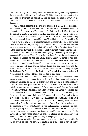and hatred is day by day rising from that focus of corruption and prejudices the epitome of an old world in dissolution. M. Thiers begins to feel that the time has come for hurrying on hostilities, lest he should be carried away by the storm, or he should have to face a Seine-et-Oise Vendee as well as a Paris Commune.

This is not an account of the civil war proper. It is not intended to describe the military operations which were, after two months of strenuous exertion, to culminate in the recapture of Paris against the National Guard. What it is part of the subject to mention, however, is the fact that the first shot was fired by order of M. Thiers, at the Courbevoie Bridge, on the 2d of April, and that from that day the design was obvious, on the side of the Versaillist leaders, of provoking the people of Paris to any deeds of revenge through their merciless mode of warfare. Thus, after that first outpost engagement, several National Guards who had been made prisoners were summarily shot within sight of the Parisian lines. It was on the following day that the Marquis de Galiffet, having surprised in the Isle de la Grande Jatte three federes who were quietly breakfasting on the grass, inaugurated his memorable exploits by having them shot on the public square of the village of Chatou. On the 4th again, General Vinoy submitted to the same process Duval and several other brave men who had been surrounded and overtaken on the Plateau de Chatillon. Again, our ambulances were purposely shelled, batteries of siege erected against Paris, and the same men who, two months before, were so loud in their protests about the German army firing on the Faubourg St. Germain or the Pantheon, did not shrink from covering with French shells the Champs Elysees and the Arc de Triomphe.

To describe the indignation of the Parisians in the face of such wanton and unwarrantable outrages would be superfluous. Everybody may well realise in what light a population barely out of the pangs and horrors of a siege could have looked at those who gave such orders. Still, for more than two months, be it stated to the everlasting honour of Paris, the National Guards bore such provocation without retaliating. Day after day they saw all the recognised laws of war violated in their own selves, their houses shelled, their brother-guards slaughtered in cold blood, their wounded massacred on the field, and as far as they were concerned they had the manliness of abstaining from such abominable practices. Whenever prisoners fell into our hands, their lives were respected, and for the moat part they were let free in Paris. When at last, under the pressure of public indignation, it was indispensable to provide for some means of putting a bar to Versaillist atrocities, the decree on the hostages was enacted; an extreme measure, no doubt, a dreadful one, but one which the nature of the war waged against us enforced absolutely. It would have been impossible to resist any longer the outcry of our people.

The decree provided that any person suspected of intelligence with the enemy would be liable to arrest, committed for trial before a jury of twelve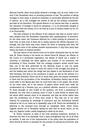National Guards, when found guilty declared a hostage, and, as such, liable to be shot if the Versaillists went on shooting prisoners of war. The practice of taking hostages in such cases, it should be remarked, is universally admitted by the law of nations. As a rule, hostages are chosen at will by the military commander, and kept at his discretion. The special feature of our decree was that, to assume the character of hostage it would be necessary, (1) to be personally charged of intelligence with the enemy; (2) to be tried by a jury of citizens drawn by  $lot$ ; (3) to be found guilty.

The best evidence of the efficacy of the measure was that no sooner had it been adopted than the Versaillists suspended their assassinations of prisoners. On the other hand, the Commune deferred for a while putting its prisoners on their trial, so that none of them did in reality assume the official character of a hostage, and that there was every chance for them of escaping with their life after a short term of the mildest possible imprisonment, if only their party kept within the limits of civilised warfare.

The real nature of the decree could not be better illustrated than by the fact that, M. Thiers having in his hands our valued friend M. Blanqui, we offered, in the course of a protracted negotiation, the details of which are a matter of notoriety, to exchange the latter against any number of our prisoners, the Archbishop of Paris included. That the unhappy prelate's arrest should have been one of the first performed by the National Guard is only too easily accounted for when one bears in mind the nature of the struggle just going on, and the leading part which the clergy had just played in the declaration of war with Germany, and then in the conclusion of peace, as well as the election of a monarchical Assembly. There can be no doubt that, given the popular excitement in Paris and the provocation of the Versaillists, Archbishop Darboy was at first much safer in the Mazas gaol than he could have been in his palace. His arrest, on the other hand, led to the seizure of papers which would have made his condemnation by a Parisian jury, as a political offender, amount to a certainty. To those amongst us who looked at the question, not from a sensational or fanatical, but only from a political, point of view, it need hardly be stated that the whole affair seemed much to be lamented, and that we would rather have seen the Archbishop out of Paris than inside it. This was one of our chief reasons for proposing an exchange of prisoners; and the Archbishop himself entered so far in our views as to repeatedly urge on M. Thiers the advisability of adhering to the proposal—once through an autograph letter, which Canon Lagarde carried out to Versailles, taking his oath that he would return, by the way, but, Regulus unlike, totally forgetting to abide by his word.

M. Thiers, however, in spite of the most pressing insistence, declined to entertain the idea of an exchange. Such a tame arrangement was not at all what he wanted. It was one of the requirements of his policy that the population of Paris should be driven to excesses for the purpose of scaring the provinces, that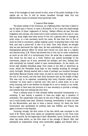some of the hostages at least should be shot, some of the public buildings of the capital set on fire. It will be shown hereafter through what foul and Machiavellian means he attained those particular ends.

#### V. Lazarus Wide Awake.

The great mishap of the Commune, as a fighting power, was that it failed to lay its hand upon a Carnot, or upon a Bouchotte, or be it upon the small-change out of either of those 'organisers of victory.' Gallant officers we had, first-rate brigadiers and colonels, who knew how to hold a position and to die upon it—men that any army might have been proud of—but not a general able to manage an army corps, or a war secretary worth the name. No less than four or five of them we tried in succession, always making a point -of granting them a fair trial first, and next a prison-cell. It was of no avail. Once, with Rossel, we thought that we had discovered the right man. He was undoubtedly a clever one, and a distinguished general officer he would have turned out some day in a regular and learned army, if M. Thiers had allowed him to live; but he never understood as much as the ABC of a revolutionary force. He acted like a talented pianist who would try his hand on a violin without any special knowledge of the instrument, played out of tune, perceived his mistake, and then, finding fault with everybody but himself, ended in open insubordination. On the whole, our forces kept steadily dwindling away, from losses in the field or desertions at home, whilst the Versaillist army kept no less steadily doubling its strength every fortnight. Having started with a total of perhaps one hundred thousand able-bodied National Guards under arms, we had no more than half that total at the end of one month, and less than forty thousand men by the middle of May. This was only to be expected, considering that every Parisian soldier was a volunteer (in most cases a married one), who had to enlist anew, so to say, every morning, and to see whether he thought fit or not to remain in our ranks. But it ought to have been the province of a war secretary to provide a remedy, and towards that end nothing was ever done.

From a military point of view ultimate defeat amounted consequently to a certainty. It was merely a question of time—one might say, a question of arithmetic. The catastrophe took place by the end of May, and a more crushing one it could hardly have been. However crushing, nevertheless, it came too late for the Monarchists, and was to them a barren victory; for when the Paris Government was annihilated its political task was fulfilled, and France was again a convert to the Republic.

Curiously enough, the first notion of the fact which was conveyed to the mind of M. Thiers came from rather an unexpected quarter, to wit, from rural common councils. By the beginning of April, Marseilles, Lyons, Toulouse, and the other big cities which, on the first news of the outrage of March 18th, had attempted an independent rising, were handcuffed, gagged, and blessed with a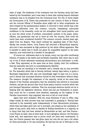state of siege. The weakness of the command over the Parisian army had been tested by the Versaillists, and it was clear to them that nothing beyond obstinate resistance was to be dreaded from the Communal host. For two or three weeks the Government of M. Thiers had presented its own version of facts to France, and the Journal Official of Versailles alone might tell to what compliments we were treated by the parliamentary leaders. It occurred to their minds that a few thousand addresses from the common councils, bespeaking unbounded confidence in the Assembly, could not but strengthen their moral position; and at once the whole array of prefects, sub-prefects, justices of the peace, policeofficers, and gendarmes was set to work all over the country. How could the result have been considered doubtful? The common councils, elected years ago, dated from the Empire. They heard nothing but appalling tales of Red Paris. Hardly two months before, rural France had returned a Monarchical majority, and now it was canvassed at high pressure by the whole official apparatus. Was it possible to admit that it would not grant its unqualified support to the same majority, now confronted by a handful of insurgents?

Of course not. Addresses went in by shoals, every one ripe with overflowing effusion of loyalty to the lawful and worshipful Assembly. Still, there was in nine out of ten of those addresses something extraordinary and unforeseen—a trifle, a flaw. They expressed, at the same time as then- loyalty, their full confidence that the Assembly was bent on consolidating the Republic.

This was too shocking to be tolerated, and a remedy was at once provided for. The Assembly which had so fiercely declined, twenty days before, to grant a Municipal Organisation Bill, was now exceedingly eager to pass one in a hurry, and to decree that municipal elections should be held everywhere without delay. The measure, thought the statesmen of the majority, would at the same time dispose of the Parisian assumption that the Assembly was adverse to municipal freedom, and get the ground clear from those paltry common councils which had just betrayed Republican velleities. That the municipal elections should not be in keeping with the legislative elections, which had just put themselves in power, they could not for a moment have admitted, especially as the bugbear of tbe Parisian insurrection, they supposed, was sure to tell on rural minds.

Again they were mistaken. With the usual blindness of men in office, they forgot totally by what process they had succeeded in grasping it. Having been returned to the Assembly quite independently of their Monarchical principles, which they had taken good care not to proclaim, and simply as the candidates of peace at any price, they were so dazzled at finding themselves in a majority as to fancy that they had been elected as Monarchists as well, and that France rural France at least—was at their back. A more egregious illusion—we Parisians knew well, and experience was to prove—could not have been entertained. In fact, the French peasant who had given them his vote did not care a bit either for them personally or for any monarchy. He had lent his ear in February to the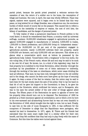parish priest, because the parish priest preached a welcome sermon—the cessation of war, the return of a soldier son to his home, the resumption of tillage and business. But now, in April, the case was wholly different. Peace was signed, matters were squared, and it began even to be hinted that this very peace, so long wished for at village firesides, was a disastrous one, the enormous burden of which would of course fall on the peasant. This caused him to reflect a good deal on the instability of empires or realms, the cost of civil lists, the fallacy of candidates, and the danger of personal power.

To fully realise of what a paramount importance in French politics is the rural factor, it should be remembered that France, a country ruled by universal suffrage, numbers 19,000,000 inhabitants engaged in agricultural pursuits, as against 9,000,000 engaged in manufactures or industry, 3,500,000 in trades, 1,500,000 in liberal professions, and 2,500,000 living on 'independent means.' Now, of the 19,000,000 (or 53 per cent of the population) engaged in agricultural pursuits, nearly 11,000,000 cultivate their own property, nearly 6,000,000 are farmers, and only 2,000,000 odd are labourers. This shows at a glance what a conservative spirit must at bottom be possessed by the agricultural body. Indeed, 'Conservation with a vengeance' is the true motto, the one ruling idea, of the French rustic, whose life and soul may be said to be sunk in his own bit of land. He knows, too, in a kind of dim legendary way, that for that property he is indebted to the Great Revolution, either directly—through the purchase by his grandfather of some cut of biens nationaux—or indirectly, through the working of the laws on inheritance, which never cease dividing the land ad infinitum. That land, he has been told, belonged before to the old nobility and to the clergy, who cannot (he feels sure) have given up the hope of securing it again. So deep a sense of the fact he retains, that the notion may be said to have been for the last ninety years the axis of his policy. Only to lay his hand on that bit of soil he gave his support to the Convention; to keep it, he gave his support to the Directoire, which confirmed his tenure, and to Bonaparte, who was to his eyes the armed soldier of the new order of things against allied Europe. The fifteen years of the Restoration he spent in agonies of terror lest his property titles should turn out to be disputed. The Revolution of 1830 he greeted as a fresh insurance against all contestation; and so blind a love he bore to his ever-caressed and all-absorbing furrow that he was not even thankful to the Revolution of 1848, which brought him the right to vote, but no land. Finally, to cast him on the side of Louis Bonaparte in 1851, it was sufficient for the conspirers of December to allege that the Republicans were partageux, who wanted his land to themselves. In 1871, again, M. Thiers and his friends had calculated that the same scare might lead to a similar effect for their own benefit, and they felt confident that they had only to play freely with the name of Commune. But this time the tables were turned against them.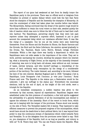The report of our guns had awakened at last from its deadly torpor the Republican party in the provinces. There was no official word or telegram from Versailles—no printed or spoken fallacy—which could hide the fact that Paris stood the champion of Republic and the Assembly the champion of Monarchy. At once the counterpart of what had taken place two months before was beheld. The Monarchists, feeling convinced that the dread of the spectre rouge would be more than sufficient to retain the rural voters on their side, awaited quietly the tide of reaction which was sure to follow the fall of Paris and to lead their craft into harbour. The Republicans, perceiving clearly that they were lost past reprieve unless they attempted a supreme effort, hastened to put to good account the unexpected delay which our resistance afforded them. It was like the rising of a cataleptic. One by one all the towns were seen bestirring themselves. From the Rhone and the Bouches du Rhone, the Haute Garonne and the Gironde, the Nord and the Seine Inferieure, the emotion spread gradually to the Drome, Var, Vaucluse, Haute Loire, Nievre, Herault, Ariege, Pyrenees Orientales. Within a few days there was hardly a department in which the Republicans were not wide awake to the importance of the crisis. They set to work, actively canvassing the country, showing the peasant where his interest lay, what a monarchy of Right Divine, as the majority of the Assembly dreamed of restoring, was sure to bring back—old abuses, wars without an end, increase of taxes, clerical tyranny, and—who knows?—perhaps a remodelling of the tenure of land; certainly early resumption by the clergy of a considerable portion of the territory. The rustic listened, and, according to his wont, followed the bent of his own interest. Marshal Bugeaud said in 1848: 'Cavaignac c'est la Republique, Louis Bonaparte c'est l'inconnu: je vote pour l'inconnu.' Rural France said now: 'The Republic is the status quo; a Restoration would be the unknown: I give my suffrage to the status quo.' Everywhere the municipal elections, held by the end of April, at the height of the civil strife, were a triumph for the Republic.

As an immediate consequence, a sudden impetus was given to the movement by that success, beyond all expectations. Republican leagues were established under the thin pretence of conciliation; a few bold spirits suggested the advisability of a general federation of all the municipalities just elected to oppose the schemes of the Assembly. Short of the resort to brute force, which was not in keeping with the temper of the provinces, France stood now morally on the side of Paris. The Versaillist leaders felt it keenly. They hastened to take efficient measures to prevent the proposed congress of the municipalities, which would have struck the death-blow to their political fabric; but it was beyond their power to stop the continuous stream of deputations which rolled towards Paris and Versailles. To us the delegates from the provinces never failed to say: 'Hold on, you champions of the Republic; hold on as long as possible, and victory is with us!' To M. Thiers they said: 'You can see France wants the Republic. What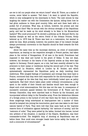are we to tell our people when we return home?' when M. Thiers, as a matter of course, never failed to answer: 'Tell them I do want to uphold the Republic, which is only endangered by the miscreants in Paris.' The next minute he was laughing the matter out with the Commission des Quinze, telling them how he had given audience to those good country folks, and sent them back with a pocket full of promises. What was, at bottom, however, his precise and real meaning just then? Was he struck with the obvious strength of the Republican party, and had he made up his mind already to be false to his Monarchical backers? Who could pronounce? So shrewd a politician as M. Edouard Herve, his familiar disciple as well as the sworn friend of the Orleans Princes, firmly believed up to 1873 that M. Thiers was bent on a restoration, but wanted to abide his time. Most probably, however, the positive date of his inward (though always provisional) conversion to the Republic should be fixed towards the first days of May.

About the same time as the municipal elections, an event of incalculable importance, as bearing on the respective strength oi French parties, had taken place in the revival of Bonapartism. Of all men in the world, Frenchmen had supposed it was dead and huried in the grave of Sedan. It was not dead, however, but dormant in the hearts of the Imperial armies as they were kept captive in Germany. French papers, as a rule, had been scantily allowed to the prisoners in their camps or residences during the second part of the war. They mostly read La Situation, edited in London by M. Rouher, and which systematically represented the Republican party as daily insulting their misfortune. With mingled feelings of humiliation and revenge they went back to France, convinced that they were held responsible for the shortcomings of their leaders, enraged at the idea that they were individually looked upon as paltry capitulards. Had their return taken place under ordinary circumstances, a day spent in the middle of their friends and families would have been enough to dispel such cruel misconceptions. But this was not the case. In consequence of successive contracts passed between the Government of M. Thiers and the German Chancellor, they were marched back to France by the thousand, and incorporated without delay in the Versailles army. From the deleterious idleness of a foreign prison to the turmoil of civil war there was for them no transition. Some misgivings being entertained at head-quarters lest a number of them should be tempted into joining the insurrection, good care was taken to stir their natural hatred of Paris. They were told that they came back as the 'supreme reserve forco of civilisation against barbarity,' the 'saviours of society,' and the 'restorers of order.' They were petted by the ladies, lionised into heroes, turned into arbiters of the situation. A marshal of the Empire, MacMahon, was their commander-in-chief. The delightful duty of shooting at Republicans was set before them. How could even stronger heads have borne safely the burden of such a concourse of circumstances?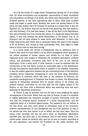As if by the stroke of a magic wand, Bonapartism sprang out of its lurking hole. All those ex-ministers and ex-deputies, excouncillors of state, ex-prefects and sub-prefects, ex-officials of all kinds, who either were disconsolate over their forfeited salaries, or had been imprudently kept in office, lifted their humbled heads and began to speak aloud. Modesty was never the special feature of the party, but this, indeed, was a fit occasion for putting on a brazen face. It was not Napoleon III., but France, they did not shrink from asserting, who had wanted a war with Germany. If he had been beaten, it was all the fault of the Republicans, who had prevented him from arming the nation; if a disastrous peace had been signed, it was only because the great diplomatists of the Empire (e.g. M. de Gramont) had not been allowed to make terms with Bismarck. In short, they boldly entered the path which was to culminate within two years in the exploits of M. de Fourtou, and, strong as they undoubtedly were, they began to make twice as much noise as they were strong.

In a moral sense, the revival of Bonapartism was an additional blow to France, that could not have failed to be an active propaganda which appealed to the lowest impulses of human nature, and evoked for its ideal of public happiness those very images of effeminate life, barefaced speculation, artificial luxury, and systematic corruption that were at the core of the national bankruptcy. From a party point of view, however, it must be admitted that the introduction of the new factor proved an incalculable gain to the Republicans, through the powerful counterpoise which it supplied to the Royalist conspiracy. It was the sudden apparition between the two contending forces of the fabulist's troisième larron—Caesarism—threatening to carry the prize away. Henceforth the coalition of interests which had been at the elections of February the successful standing-ground of Orleanism was broken to pieces. The Monarchical majority in Parliament remained with its scanty retinue of old women and political bishops, confronted on one side with the still mighty relique of the Empire, on the other with a democracy which was asserting more and more distinctly its Republican preferences.

M. Thiers, it may be assumed, was not the last in duly weighing the logical consequences of the event. Better than any man in France, he was in a situation to rightly appreciate the respective strength of parties. Everybody could see now that the Orleanist faction consisted of a dozen drawing-rooms, and the Legitimist party of a hundred pigeon-houses. The peasantry did not believe in the Red Scare, and were more afraid of Clericalism than of the Commune, however misrepresented. To turn Bonapartist was out of the question: no man in his senses has ever been known to do so within the last nine years. Thus the notion crept naturally into the old man's brain, as Republican deputations marched past, day after day, in his presence, that he had clearly better, if he valued power (which he certainly did), cast his lot avec le nombre, according to his own expression, and become the President for life, prime minister, war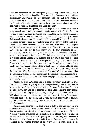secretary, chancellor of the exchequer, parliamentary leader, and universal factotum of a Republic—a Republic of his own make, 'Conservative and without Republicans.' Impertinent as the definition was, he had now sufficient experience of the Republicans around him to feel sure that they would swallow it for the sake of the label. It was reserved for a circumstance almost farcical in its nature to ripen the temptation into a settled resolve.

The Commission des Quinze, that was adjunct to M. Thiers as a kind of privy council, was a body preeminently fidgety. According to the time-honoured custom of vestry mediocrities turned into legislators, its members entertained the highest idea of their own statesmanship, and insisted upon taking in earnest their consultative function. Their notion of the responsibilities placed upon their shoulders, as well as their perpetual intrusion on the privacy of the chief of the Executive, had soon become offensive to their ward, who was too old to enjoy a walk in leading-strings. Above all, to a man of M. Thiers' turn of mind, it would have been impossible not to make merry over the busy incapacity of those would-be kingmakers, and, having done so, not to let it transpire. Both forces were not long in coming into collision. The Quinze complained of being slighted; they affected to feel uneasy at the outburst of Bonapartism, and were of opinion, in their high wisdom, that with 170,000 picked men, la plus belle armée que la France ait jamais eue, the Executive ought already to have recaptured Paris; finally, they were much disgusted (not without cause, the respectable old folks) at what they called 'his continuous coquetting' with Republican delegates from the provinces. 'Why, they come to warn me that they will rise in arms and join the Commune, unless I promise to maintain the Republic!' would expostulate the old man. 'How could I do otherwise? Cela n'engage que moi.' But the Fifteen would not be cheered up.

One fine morning M. Thiers heard of a lobby conspiracy, headed by the Duke Decazes, which aimed at putting General Changarnier in power. At once he tried to parry the blow by a timely offer of a Great Cross of the Legion of Honour to the veteran warrior. The latter declined the offer. This seemed to imply that he felt confident of winning the higher prize, and frightened M. Thiers not a little. With characteristic promptitude, he determined rather to throw the Assembly overboard than to be discarded; and he took his first opportunity of telling a deputation that for the Assembly 'ever to assume a constituent character was out of the question.'

Such an open defiance of the first article of faith of the Assembly—its own omnipotence—could not have passed unnoticed. Without loss of time, the Changarnierists introduced an 'interpellation,' and one of them, Mortimer Ternaux by name, challenged an explanation of the phrase. This took place on the 11th of May. The date is worth quoting, as it marks the precise moment of the secession of M. Thiers from the Right. Instead of answering the question, he resorted to his wonted humbug of an overworked old man; spoke of his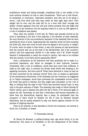multifarious duties and failing strength; complained that in the middle of the most arduous situation he had to meet tracasseries. 'There are in this House,' he exclaimed, in conclusion, 'imprudent members, men who are in too great a hurry. I ask from them that they may credit me with eight days more. Then danger will be over, and the task will be on a level with their courage and ability.' Frantic applause from the Left and violent protests from the Right laid full stress on the insolence; but the majority bowed to it, and, by 490 against 9, a vote of confidence was passed.

Thus, after two months of civil war, M. Thiers had actually arrived at the point of upholding in the face of the majority, if not directly, at least implicitly, the very doctrine of the non-constituent character of the Assembly that we were asserting by force of arms. Supposing that the majority would not have accepted the bitter pill, what else could he have done but appeal to the country or resign? Of course, when he spoke in that strain, it was only because he had ascertained that the country was not at the back of the Monarchists. But if the country's opinion had thus apparently shifted in a few weeks, and if M. Thiers himself deemed it indispensable to adopt the country's opinion, who was to be credited with the miracle, if not Paris and its passionate effort?

Such a declaration as the Executive had been gradually led to make to a provincial deputation, and which he managed to have indorsed, however reluctantly, with a vote of confidence, would have been more than sufficient, if made at the right time, to prevent the bloody strife which was drawing to its appalling conclusion. But how could M. Thiers have delivered it, when he had not yet been converted by the national outcry? Even now, so simple an agreement as the simultaneous dissolution of the Assembly and the Commune, as suggested by Le Temps newspaper, would have prevented the unspeakable horrors which the world was about to witness. But who might have succeeded, on the 11th of May, in holding back the dogs of war? Paris was launched beyond hope, to stop only in the grim embrace of Death. The Assembly was ready to follow literally M. Thiers' advice, and to dismiss him after the fall of Paris, if he ventured again to oppose its will. Personally, he saw that a restoration had become impossible; he knew that the Monarchical majority was a sham; he anticipated that the conqueror of Paris would be dictator for life if only he declared himself Republican, and he quietly prepared to play one faction against another for the purpose of reigning supreme.

First of all, however, it was desirable to drown the Commune, not merely in blood, but, if possible, in shame.

#### VI. Eumenides Abroad.

M. Barral De Montant, a military-looking man, age about thirty, is in the witness-box. The scene is at Versailles, in the old riding-school of the Petites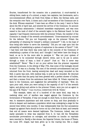Ecuries, transformed for the occasion into a praetorium. A court-martial is sitting there, made up of a colonel, a major, two captains, two lieutenants, and a non-commissioned officer, all fresh from Sedan or Metz, the German exile, and the revanche over Paris. A dozen and a half ex-members of the Commune are in the dock. Witness examined: 'I have been an officer in the navy. I went to Paris about the 8th of April last, and entered the service of the Commune. On account of my military attainments I obtained immediate employment, and was soon raised to the rank of chief of the seventh legion in the National Guard. In that capacity I had frequent intercourse with the prisoner Urbain, the member of the Commune in charge of the seventh arrondissement.' Cross-examined by counsel for the defence: 'Did you not frequently urge on the prisoner Urbain the advisability of obtaining for himself a military command?' 'I did, in the hope of thus being able better to serve the Assembly.' 'Did you not urge upon him the advisability of establishing a system of explosives in the sewers of Paris?' 'I did. I had been told that there was some talk in the councils of the Commune of establishing a system of the kind, and I thought I had better have the thing in hand, so as to be the more able to paralyse it.' 'Was not your system of explosives to be connected through electric wires, and to be put in action through a chain of keys, a kind of piano?' 'Just so.' 'But it never was established?' 'Never.' 'Was it not on your advice that the prisoner requested from the Commune, in the sitting of May 17th, that some of the hostages should be shot?' 'It was on a Sunday. The men of the seventh arrondissement had just returned from the front, leaving seventy-two dead and many wounded on the field. A party was sent, with medical help, to pick up the wounded. He returned with the news that the party had been greeted with a perfect shower of bullets, and that a woman from the ambulance had been killed. M. Urbain reported the facts to the Commune, and suggested the advisability of reprisals.' 'Now, sir, upon your oath, when you were acting in the capacity of chi\*f of the seventh legion, and giving such advice to the prisoner Urbain, wcre you not an agent in the pay of M. Thiers." 'I HAD POLITICAL CONNECTIONS WITH M. THIERS.'

This example, taken out of a hundred of the same kind, may help in realising what sort of warfare was waged against the Commune by the Government of Versailles. If was not enough to shell Paris, to shoot prisoners of war, to massacre physicians and sick nurses on duty, and thus gradually to drive to despair and madness a population which was undergoing a siege for the second time within nine months. It was indispensable that the foul accusations heaped up against Paris should be borne out by a few facts at least, and towards that end all means were deemed legitimate. The Commune, indeed, was not easily amenable to what was expected from it. In vain did the Versaillists accumulate provocations on outrages, and atrocities on insults: no reprisals were resorted to. Hardly a few stones, the Imperial Column, the house of Thiers, the Louis XVI. chapel, had been given up to the roaring lion. Not a single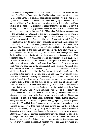execution had taken place in Paris for two months. What is more, one of the first deeds of the National Guard after the 18th March had been to burn the guillotine on the Place Voltaire, a childish manifestation perhaps, but none the less a significant one, under the circumstances. Was it not saying to the world, 'We are no men of blood, and we do not want to reign by terror'? Not a hair had been touched on the head of the hostages, or rather there were no hostages as yet in the legal sense, as the jury provided under the decree of the Commune had never been assembled; and on the 17th of May, when Urbain (on the suggestion of the Versaillist spy attached to his person) proposed that an execution of Versaillist prisoners should take place, to prevent the return of such outrages as he had just reported, the Commune, through a formal vote, rejected the idea, ordering simply that its former decree should be put in practice, and that a jury should be convened to select such prisoners as would assume the character of hostages. The first drawing of the jury took place publicly on the following day, and the jury sat for the first and only time on the l'Jth May, when three prisoners were tried before it and acquitted. It follows that two days later, when the Yersaillists entered Paris, although there were in the Communal gaols 1648 prisoners—namely, 1428 gendarmes or soldiers, prisoners of war made on or after the 18th of March; and 220 civilians, mostly priests, who mixed in politics under cover of their ministry, and spies from Versailles—there was not one single 'hostage,' according to the Communalist legal definition. With such spies Paris bristled literally. If the French army had not made sufficient use of the Intelligence Department pending the German war, it certainly made up for the deficiency in the course of the civil strife. No less than twenty million francs secret-service money, according to trustworthy data, passed within those two months through the fingers of M. Thiers. One may obtain a good sprinkling of detective help at that price, the more so as the chief item of expense really accounted for seems to have been beer-money. The amount of Conservative 'bocks' that were drunk on the Boulevards of the period must have been something dreadful. One Troncin-Dumersan was the chief secretary and superintendent of the service under M. Thiers. He experienced afterwards the misfortune of being placed in the dock, by no means as a political offender, and sentenced to a number of years' imprisonment for obtaining current coin under false pretences. Besides unbounded powers for appropriating public or private moneys, that Versaillist Jugurtha appears to have possessed a special knack of enlisting all the rogues that were just then playing the shuttlecock between Paris and Versailles, an army by itself; but he was never able to discover a Calpurnius in the ranks of the Commune. It was not from want of strenuous attempts. Above all, the military commanders were the special subjects of his soundings. One Aronssohn, his envoy, was arrested under the name of Gutmacher, as he tried to bribe one of our war secretaries into treason, and subsequently succeeded in escaping. Another spy, of the name of Veysset, was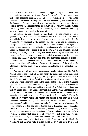less fortunate. He had found means of approaching Dombrowski, who commanded on our west front, and offering him a safe-conduct to the frontier, with sixty thousand pounds, if he agreed to surrender one of the gates. Dombrowski pretended to accept the offer, but immediately sent advice of it to the Commune. He was instructed to give an appointment to the spy, who was carried off with the earnest money he brought on account, put in safe custody, and finally shot. Admiral Saisset was mixed up in the business, and very narrowly escaped experiencing the same fate.

All similar attempts aimed at the leaders of the movement failed ignominiously. But the disease was none the less at the root of the tree, and it was chiefly instrumental in procuring an entrance in our walls for the Versaillists, by spreading at the proper time false news and discouragement amongst the National Guards. One of the successful devices of the spies, for instance, was to approach individually our artillerymen, who made great havoc among the troops, and to enlist them for desertion at a high premium, through the very simple argument that they had much better stay at home and draw double pay. In some cases the spies succeeded in getting guns in important positions spiked. Above all, they kept their employers most accurately informed of the weakness or occasional want of attention of some outpost, an occurrence almost unavoidable with volunteer forces; and to a surprise of the kind, on the afternoon of Sunday, the 21st May, was due the entrance of the Versaillists into Paris.

This was still fairplay, under the common standard ofwar morality. But the general work of the secret agents can hardly be considered in the same light. Whenever they did not openly play the agent provocateur, as in the case of Barral de Montaut, or they found it unadvisable to advocate desertion, they acted as a latent dissolving force on the morals of the soldiers of the Commune, appealed to low impulses, bestirred evil passions, and helped to incense the thirst for revenge which the sudden prospect of a defeat beyond hope and without mercy, succeeding a period of wild hopes and unbounded confidence, was sure to break loose. This is an element which could not be overlooked in the analysis of the last convulsions of Paris, as it is found unmistakably at the bottom of everything which was wanton and useless in the supreme struggle; and when it is added that upon the invasion of the Versaillists all masks were at once taken off, and the spies turned out to be the regular scouts of the army, the boon companion of the day before turned out a denouncer, the commanding officer in some cases a traitor, the friendly house a deadly trap—the surprising fact is, not that some of the champions of despair indulged in a few deeds of revenge, but rather that such deeds of revenge were not more numerous and more terrific. The story is a simple one, and can be told in a few lines.

Seventeen hours after having got hold of the gate of St. Cloud, the Versaillists had lined the walls of Paris, inside the west and north fronts, with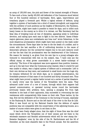an army of 130,000 men, the pick and flower of the trained strength of France. To face such a force, hardly 25,000 odd defenders of the Commune stood behind four or five hundred embryos of barricades. Here, again, improvidence and treachery played a foremost part. Whilst a logical scheme of defence, tying together a system of barricades into a kind of inward stronghold, and supported with the artillery of such positions as the heights of Montmartre, the Pantheon, and Belleville, might have made it possible to resist for days, and to inflict such heavy losses on the enemy as to drive it to retreat, our War Secretary had the fatal idea of breaking loose all ties of discipline, appealing solely to individual devotion, and calling upon each man to fight in his own district. 'Assez d'étatsmajors galonnes; place aux combattants auz bras nus!' wrote Delescluse, in the most disastrous proclamation which might have been posted on the walls under the circumstances. Three days later he was to die the death of a soldier, and to crown with the last sacrifice a life of unflinching devotion to the cause of democratic advance; but the unreserved respect due to his pure memory could not bar the fact that his proclamation was the deathwarrant of the Commuue. His reason for issuing it, as given from his own lips to a young colleague who ventured to remonstrate with him on the subject, was, 'I have only put the official stamp on what grows unavoidable in a street battle—contempt of authority.' The force of the argument was more apparent than positive, however, and up to the last hour what the Communal army wanted, what it craved for and was unable to obtain, was a logical system of defence and a commander. Left to their own devices as they were, and scattered in small knots over the huge city, its remains withstood for six whole days, up to complete extermination, the formidable pressure of that mass of one hundred and thirty thousand men. Thus what might have proved a regular battle turned out a series of partial disasters. In nearly every case the tactics of the Versaillists were the same. They advanced under cover of a row of houses, through which their sappers had opened communication, or operated turning moves round the barricades previously beaten with artillery; then, opening a plunging fire from high windows in the back of their opponents, they succeeded in overcoming the last resistances with comparatively little losses on their side. These tactics, by the way, first led the defenders of the Commune to the burning of houses, especially in the Faubourg St. Honore and on the left bank of the river in the Kue de Lille. When it was found out by the National Guards that the defence of capital positions was not compatible with the conservation of the adjoining houses, as a matter of course orders were given to set them on fire.

It has been freely alleged since, that the sight of those fires was the chief cause which drove the Versaillists out of their senses and led them to the wholesale massacre and fiendish achievements which will for ever stamp the ' Semaine Sanglante,' even by the side of the St. Bartholomew and the 2d of December, as the most shameful date in the French annals. But the assertion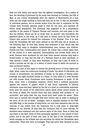does not hold water, and cannot bear the lightest investigation. As a matter of fact, the shooting of prisoners by the army was resumed on Tuesday, the 23d of May, at one o'clock, immediately after the capture of Montmartre, at a time when not one single building in Paris had been set on fire. It was not ascribable to individual passion, but to precise orders from the men in command; for the victims were formally selected, made to wait for one hour, and marched off before being despatched. The holocaust was supposed to be a propitiatory sacrifice to the manes of Clement Thomas and Lecomte, and took place in the Rue des Rosiers. There can be no doubt that' no quarter' was henceforth the password given to the army, as it had been in former times by that Oliver de Clisson who earned for himself the nickname of the Butcher. True it is, that what the Versaillists did with some method on the 23d they did at random on the following days. At first they merely shot prisoners of war, which was bad enough; they came to slaughter indiscriminately men, women, and children, friends and foes, Communalists and others. Ho sooner was a street taken than all the houses in it were searched. Denunciations and private feuds were at work. Persons were murdered for the most futile causes—because they kept a breech-loader, or they had the kepi of a National Guard in their wardrobe, or they sported a beard, or they were beardless, or they had a pair of boots on which a private set his eye, or a debtor of theirs chose to settle his account in that convenient fashion.

It is no part of this paper to retrace the glowing horror of those nights and days, when, under the continuous bursting of shells, the whizz of rifle-shots, the rounds of mitrailleuses, the whirlwind of smoke, by the glare of twenty public buildings and eight hundred houses in a blaze, on both sides of a river literally red with human blood, Frenchmen were hunting Frenchmen to death. Of the fires, some were a strategical measure, others were a political precaution against the seizure of papers which it was found impossible to destroy otherwise; some had been lighted by the fall of a shell on combustible materials; some were the result of the destructive mania which seizes armed crowds on the brink of death. For months Paris had been deluded with protests of ' no surrender,' and oaths that 'the city would bury itself under its ashes.' There were men in earnest who thought that their honour was at stake in abiding by the word. As for the so-called ' hostages,' shot in separate batches on the 24th and 26th May, to the number of sixty-three, not only their execution was not the outcome of any orders from the Commune, but it took place in downright defiance of our decrees. At that date the Commune held no more sittings. Its members were scattered over the various parts of the town. None of them had any share in the deed. Some of them personally opposed it to the utmost of their power, and to the peril of their own lives, in the face of the infuriated crowd which avenged on the ill-fated men the atrocities for which the Versaillists were responsible. These men were no hostages. They had never been declared as such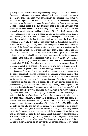by a jury of their fellow-citizens, as provided by the special law of the Commune. They were merely persons in custody, charged with being in the active service of the enemy. Their execution was emphatically an irregular and fortuitous measure of reprisals, the individual work of an irresponsible, minority, maddened with the smell of powder, harassed with four days of carnage, and doomed to certain death in its last trenches. That there were Versaillist wirepullers at its back amounts to a certainty, whilst most of its elements had personal wrongs to retaliate, and had just heard of the shooting by the army of a son, of a father, in some cases of a mother or a sister. When they caused some of the foremost prisoners of the Commune to bear the weight of their irrepressible fury, they overlooked the fact that they had no right over the lives of noncombatants; above all, they did not remember that the tumultuous shooting of threescore priests, gendarmes, spies, and stock-jobbers could only serve the purpose of the Versaillists, without conferring any practical advantage on the cause of Paris. In that sense, it was again 'more than a crime—a fatal mistake.' But for it, no revolution in history would have stood so pure from blood and violence as ours. It should be noted here, that some Versaillist newspapers recorded on the 23d as an accomplished event the tragedy which only took place on the 24th. The only possible inference is that they were commissioned to suggest what M. Thiers had clearly shown to be his most earnest desire, by declining to grant the exchange of M. Blanqui for any number of prisoners. Hie fecit cui prodest is generally found to be a most applicable axiom in such cases.

Supposing, however, that those sixty-three corpses are to be put down to the debtor account of bona-fide defenders of the Commune, what a balance when one turns to the account-sheet of the Versaillists! Here assassination is recorded not by the dozen or the score, but by the thousand. Here the shooting of the prisoners is not the outcome of a passing fit of frenzy, but the execution of a preconceived system pursued with unflinching barbarity, over a space of ten days, by a disciplined army. Priests are not shot this time, and are satisfied with playing the part of purveyors of human meat in every district; but women are bayoneted when they happen to be poorly dressed or to carry a milk-can, under pretence that they are 'petroleuses,' and when they are pregnant under pretence that they hawk ammunition under their petticoats; old men are despatched because they must have seen the days of '48, and children that they may not witness another Commune. A member of the National Assembly, Milliere, who not only did not take any part in the rising, but was opposed to it, is shot by order of a staff-officer (who afterwards boasted of the exploit and was promoted for it), in the presence of another member of the Assembly, M. de Quinsonas, who not only does not deny the soft impeachment, but coolly relates the incident to a Select Committee. A mayor and a philanthropist, Dr. Tony-Moilin, is arrested in his study, and executed after twenty-four hours' reprieve, during which he is allowed to marry. A physician on duty at the St. Sulpice ambulance, Dr. Faneau,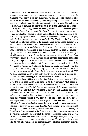is murdered with all the wounded under his care. Two, and in some cases three, persons unknown are shot in succession, as being such or such a member of the Commune, who, however, is now surviving. Others, like Varlin (arrested after the battle, on the denunciation of a priest), are given up to the tender mercies of a mob in broadcloth, and literally torn to death in the streets. The well-known economist, M. Cernuschi, an energetic opponent of the Commune, is doomed to death by General Cissey, simply as having subscribed four thousand pounds against the Imperial plebiscite of '70. Then, for days, there are in every corner of the city slaughter-houses in which human blood is flooding the kennels. The battle has long ago breathed its last smoke, when wholesale murder is still going on in the Pere Lachaise cemetery, in the Park of La Muette, at the Luxembourg Palace, at the Military School, at La Roquette gaol, at the Lycee Bonaparte, at the north and west termini, in the Pare Monceaux, in the Jardin des Plantes, at Bicetre, in the forts, in the Lobau and Dupleix barracks. Atone single place over 1800 prisoners are massacred in one night. At another, the men are caused to dig up the trenches over which they are to be shot. In the Bois de Boulogne, mitrailleuses are put to work, as the executioners are tired with firing. Blood everywhere, heaps of corpses in every street, haggard, anonymous, barefooted, with pockets upturned. Who could tell their names—or even their number? The consistent critic of the misdeeds of the Commune, and special admirer of the good deeds of Versailles, M. Maxime du Camp, has made an attempt towards a computation quite lately, by summing up the official entries at the Paris cemeteries between certain dates. He then comes to a grand total of 6667 Parisian carcasses, which is certainly ghastly enough, and he is so kind as to concede that c'est beaucoup, c'est beaucoup trop. But what about the dead bodies which, having been hidden where they had fallen, were never unburied? What about the train-loads which were sent out to Mery-sur-Oise? What about the mountains of human remains which were sprinkled with mineral oil and burned out on the bastions of Paris? The current estimate of the army, immediately after the event, was that 25,000 persons at the very least had been shot. Many witnesses put it at over 35,000. MacMahon admitted 17,000 in the parliamentary inquiry. The real figure is probably between the two extremes. When the butchers stopped, it was merely from fear of some infectious disease that might arise out of such a focus of putrefaction, and because it was so difficult to dispose of the bodies, as murderers know well. At the complementary elections of July, two months later, 100,000 Parisian voters were found wanting. Putting aside about 50,000 prisoners that had been taken in custody to Versailles, and were cramming the forts, the isles, the pontoons on the roads of the Atlantic, awaiting a mock trial at the hands of their foes; taking into account 10,000 odd persons who succeeded in escaping to foreign lands, and it may be as many who passed unnoticed,—a margin remains of 30,000 former beings, that tells its own tale, which does not prevent many people from confidently believing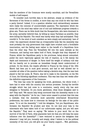that the members of the Commune were mostly cannibals, and the Versaillists models of self-respect.

To consider such horrible data in the abstract, simply as evidence of the fierceness of the forces in conflict, is more than any one could do who has been a party thereof. Indeed, it is a question whether such extraordinary excesses were really the outcome of uncontrollable passions. The impression which the scene left on the mind was rather one of cool and deliberate progress towards a given aim. There can be little doubt that the Bonapartists, who were dominant in the army, earnestly believed that, by killing as many Parisians as possible, they were killing the Republic. The result was hardly what they had anticipated. They overdid it. To the mind of such outsiders as were simply and exclusively 'men of order,' the experiment showed that an irresponsible body like the Assembly was most probably the only government that might have crushed such a formidable insurrection, and the feeling went rather to the benefit of a Republican form than the other way. Then the Versaillists fell into the same mistake as the Commune, and having once taken hold of Paris, thought that they disposed of France; whilst the Republican party in the provinces, being almost untouched, pulled the more vigorously against the tide of reaction, as it felt keenly the depth and imminence of danger. In Paris itself the weight of military rule was felt too heavily not to provoke an immediate though latent undercurrent of protest. On the whole, the respite afforded to France by the rising of the 18th March had been put to such good account, and had so well allowed her to consider all sides of the question before taking a decisive step, that the man best placed to feel her pulse, M. Thiers, was led to make in the Assembly, on the 9th of June, the following significant confession. This was less than two weeks after the definitive suppression of the Commune:

'The time has come for speaking the truth, gentlemen, the whole truth. I have had to enter with the country into serious promises. During the terrible struggle which has just come to a conclusion, nearly every city has sent delegates to Versailles. Do you know, gentlemen, what those delegates said to me? They said: "We cannot help being convinced that the Assembly wants to do away with the Republic." As for me, I have never ceased to protest that this was a mistake; that the Assembly most assuredly entertained Monarchical preferences, but knew how to overcome its feelings for the sake of the public peace. "It is not the Assembly," I told the delegates, "but you Republicans, who threaten the Republic! Be prudent and wise. Do not lend your help to the miscreants who have taken hold of our unfortunate capital, and you will save the Republic." They went on saying: "We believe in your word. But on the morrow of the fall of Paris, what guarantee have we that you will keep the same influence over the Assembly?" I have ventured to assure the delegates that whenever I may tell you, honestly and simply, what I believe to be the political necessity of the hour, you will give me your hearty support.... Well, gentlemen,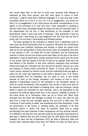who would argue that, in the face of those men, incensed with feelings as vehement as they were sincere, and who were about to return to their provinces, I ought to have held a different language? It is only thus that I have succeeded—allow me to tell it to you, for it is no exaggeration, you would see that it is no exaggeration if you could peruse the whole correspondence of our agents in the provinces—it is only thus that I have succeeded in soothing a distrust which was a formidable danger as long as we had not reentered Paris. If the departments did not stir, it was exclusively on the strength of such declarations, which I never was tired of renewing.... Now, gentlemen, if you are of opinion that I was wrong, you may disapprove me. But such was my line of policy, and I do not think I could wisely have followed another.'

No better apology for the Commune is needed, from a Republican point of view, than the above testimonial from its conqueror. Whenever the conventional Republicans have sufficient manliness and honesty to admit the simple truth that but for the self-sacrifice of Paris they would under all probability have had, in the summer of 1871, no heads left on their shoulders, and the tremendous reaction of which we bore the burden would have fallen on the men of the 4th of September, it may be hoped that a modest memorial will be raised over the bones of our heroes, with the speech of the 9th of June as an epitaph. They were the real fathers of the Republic. It was their stubborn resistance that converted France and made her contradict her own vote at two months' interval, as it was the pressure of France which converted M. Thiers. Of course, after the great crisis, history resumed its natural course, and the conflicting forces set again to work; but the crisis had impressed on the wheel a decisive turn. If M. Thiers, having diverged from the Assembly, was not upset at once, it was simply because he lived on the foreign occupation, and because he had to cast a shipload of Republicans bound for the antipodes to the Versaillist sphinx as often as it grew troublesome. The occupation over, he fell a victim once more to the passions which he had helped in breaking loose. Like the Commune, having dared to oppose the Assembly, he was overcome. Like it, he bequeathed to the conqueror the political legacy which was, in the long-run, infallibly to prevail. In the moral world, as in mechanics, there can be no forces lost. When forty thousand men die freely and willingly on behalf of a cause, the odds are that they bore in them the real strength, genius, fire, and soul of their race. The Commune, it need hardly be added, was something more than Republican. It was the government of the fourth or working estate, the landmark of its first conscious advent to power. But when its members knew how to merge provisionally the class interests of their constituents into the national interest, it is difficult to see why the very men who profit by the sacrifice would persist in ignoring it. Lawyers they are, and it seems that the 18th March was somewhat unlawful. So were -the 4th of September 1870, the 24th of February 1848, and several other orthodox dates—were they not? Would it be that our fault was to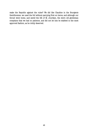make the Republic against the rules? We did like Claudine in the Bourgeois Gentilhomme: we used the foil without parrying first en tierce; and although our thrust went home, and saved the life of M. Jourdain, the stern old gentleman complains that we had no patience, and did not let him be stabbed in the most approved fashion, as he richly deserved.